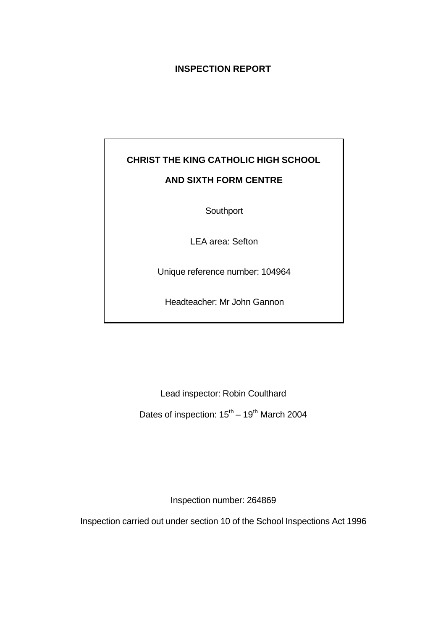# **INSPECTION REPORT**

# **CHRIST THE KING CATHOLIC HIGH SCHOOL AND SIXTH FORM CENTRE**

**Southport** 

LEA area: Sefton

Unique reference number: 104964

Headteacher: Mr John Gannon

Lead inspector: Robin Coulthard

Dates of inspection:  $15^{th} - 19^{th}$  March 2004

Inspection number: 264869

Inspection carried out under section 10 of the School Inspections Act 1996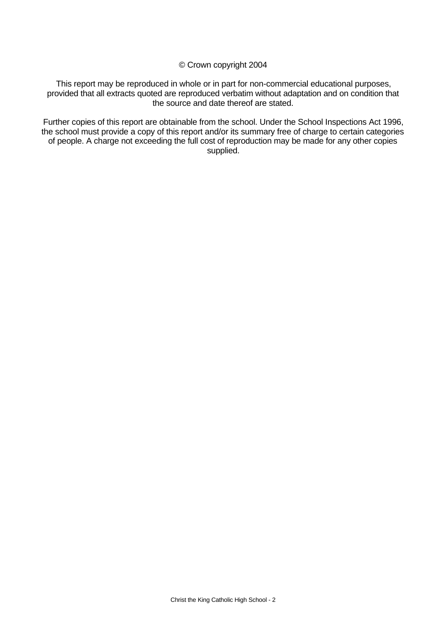© Crown copyright 2004

This report may be reproduced in whole or in part for non-commercial educational purposes, provided that all extracts quoted are reproduced verbatim without adaptation and on condition that the source and date thereof are stated.

Further copies of this report are obtainable from the school. Under the School Inspections Act 1996, the school must provide a copy of this report and/or its summary free of charge to certain categories of people. A charge not exceeding the full cost of reproduction may be made for any other copies supplied.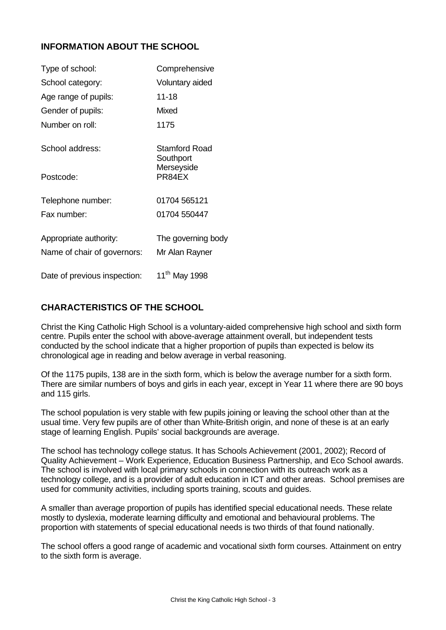# **INFORMATION ABOUT THE SCHOOL**

| Type of school:                                       | Comprehensive                        |
|-------------------------------------------------------|--------------------------------------|
| School category:                                      | Voluntary aided                      |
| Age range of pupils:                                  | 11-18                                |
| Gender of pupils:                                     | Mixed                                |
| Number on roll:                                       | 1175                                 |
| School address:                                       | Stamford Road<br>Southport           |
| Postcode:                                             | Merseyside<br>PR84EX                 |
| Telephone number:                                     | 01704 565121                         |
| Fax number:                                           | 01704 550447                         |
| Appropriate authority:<br>Name of chair of governors: | The governing body<br>Mr Alan Rayner |
| Date of previous inspection:                          | 11 <sup>th</sup> May 1998            |

# **CHARACTERISTICS OF THE SCHOOL**

Christ the King Catholic High School is a voluntary-aided comprehensive high school and sixth form centre. Pupils enter the school with above-average attainment overall, but independent tests conducted by the school indicate that a higher proportion of pupils than expected is below its chronological age in reading and below average in verbal reasoning.

Of the 1175 pupils, 138 are in the sixth form, which is below the average number for a sixth form. There are similar numbers of boys and girls in each year, except in Year 11 where there are 90 boys and 115 girls.

The school population is very stable with few pupils joining or leaving the school other than at the usual time. Very few pupils are of other than White-British origin, and none of these is at an early stage of learning English. Pupils' social backgrounds are average.

The school has technology college status. It has Schools Achievement (2001, 2002); Record of Quality Achievement – Work Experience, Education Business Partnership, and Eco School awards. The school is involved with local primary schools in connection with its outreach work as a technology college, and is a provider of adult education in ICT and other areas. School premises are used for community activities, including sports training, scouts and guides.

A smaller than average proportion of pupils has identified special educational needs. These relate mostly to dyslexia, moderate learning difficulty and emotional and behavioural problems. The proportion with statements of special educational needs is two thirds of that found nationally.

The school offers a good range of academic and vocational sixth form courses. Attainment on entry to the sixth form is average.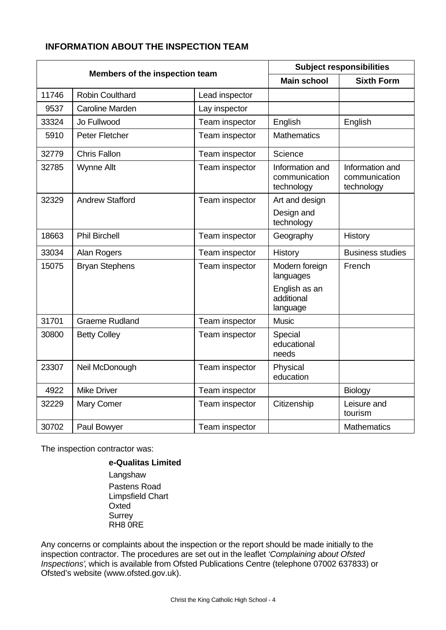# **INFORMATION ABOUT THE INSPECTION TEAM**

| Members of the inspection team |                        | <b>Subject responsibilities</b> |                                                |                                                |
|--------------------------------|------------------------|---------------------------------|------------------------------------------------|------------------------------------------------|
|                                |                        |                                 | <b>Main school</b>                             | <b>Sixth Form</b>                              |
| 11746                          | Robin Coulthard        | Lead inspector                  |                                                |                                                |
| 9537                           | <b>Caroline Marden</b> | Lay inspector                   |                                                |                                                |
| 33324                          | Jo Fullwood            | Team inspector                  | English                                        | English                                        |
| 5910                           | Peter Fletcher         | Team inspector                  | <b>Mathematics</b>                             |                                                |
| 32779                          | <b>Chris Fallon</b>    | Team inspector                  | Science                                        |                                                |
| 32785                          | <b>Wynne Allt</b>      | Team inspector                  | Information and<br>communication<br>technology | Information and<br>communication<br>technology |
| 32329                          | <b>Andrew Stafford</b> | Team inspector                  | Art and design                                 |                                                |
|                                |                        |                                 | Design and<br>technology                       |                                                |
| 18663                          | <b>Phil Birchell</b>   | Team inspector                  | Geography                                      | <b>History</b>                                 |
| 33034                          | Alan Rogers            | Team inspector                  | History                                        | <b>Business studies</b>                        |
| 15075                          | <b>Bryan Stephens</b>  | Team inspector                  | Modern foreign<br>languages                    | French                                         |
|                                |                        |                                 | English as an<br>additional<br>language        |                                                |
| 31701                          | <b>Graeme Rudland</b>  | Team inspector                  | <b>Music</b>                                   |                                                |
| 30800                          | <b>Betty Colley</b>    | Team inspector                  | Special<br>educational<br>needs                |                                                |
| 23307                          | Neil McDonough         | Team inspector                  | Physical<br>education                          |                                                |
| 4922                           | <b>Mike Driver</b>     | Team inspector                  |                                                | Biology                                        |
| 32229                          | Mary Comer             | Team inspector                  | Citizenship                                    | Leisure and<br>tourism                         |
| 30702                          | Paul Bowyer            | Team inspector                  |                                                | <b>Mathematics</b>                             |

The inspection contractor was:

**e-Qualitas Limited** Langshaw Pastens Road Limpsfield Chart Oxted Surrey RH8 0RE

Any concerns or complaints about the inspection or the report should be made initially to the inspection contractor. The procedures are set out in the leaflet *'Complaining about Ofsted Inspections'*, which is available from Ofsted Publications Centre (telephone 07002 637833) or Ofsted's website (www.ofsted.gov.uk).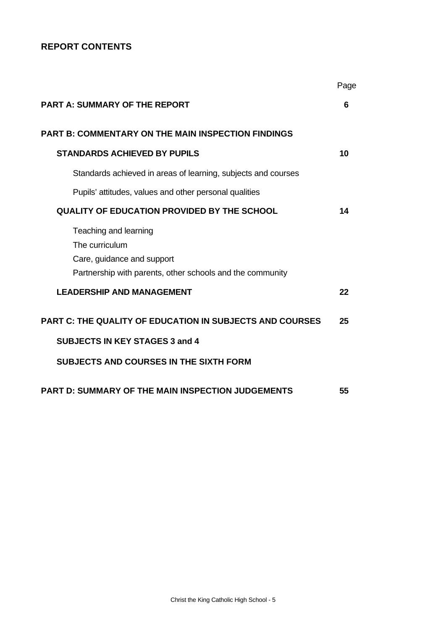# **REPORT CONTENTS**

|                                                                                                                                    | Page |
|------------------------------------------------------------------------------------------------------------------------------------|------|
| <b>PART A: SUMMARY OF THE REPORT</b>                                                                                               | 6    |
| <b>PART B: COMMENTARY ON THE MAIN INSPECTION FINDINGS</b>                                                                          |      |
| <b>STANDARDS ACHIEVED BY PUPILS</b>                                                                                                | 10   |
| Standards achieved in areas of learning, subjects and courses                                                                      |      |
| Pupils' attitudes, values and other personal qualities                                                                             |      |
| <b>QUALITY OF EDUCATION PROVIDED BY THE SCHOOL</b>                                                                                 | 14   |
| Teaching and learning<br>The curriculum<br>Care, guidance and support<br>Partnership with parents, other schools and the community |      |
| <b>LEADERSHIP AND MANAGEMENT</b>                                                                                                   | 22   |
| <b>PART C: THE QUALITY OF EDUCATION IN SUBJECTS AND COURSES</b>                                                                    | 25   |
| <b>SUBJECTS IN KEY STAGES 3 and 4</b>                                                                                              |      |
| <b>SUBJECTS AND COURSES IN THE SIXTH FORM</b>                                                                                      |      |
| <b>PART D: SUMMARY OF THE MAIN INSPECTION JUDGEMENTS</b>                                                                           | 55   |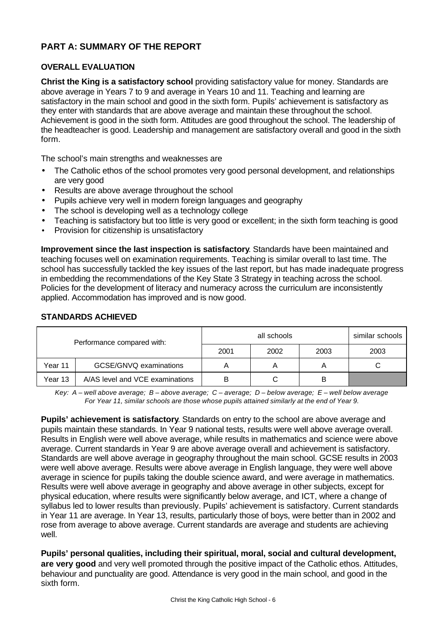# **PART A: SUMMARY OF THE REPORT**

# **OVERALL EVALUATION**

**Christ the King is a satisfactory school** providing satisfactory value for money. Standards are above average in Years 7 to 9 and average in Years 10 and 11. Teaching and learning are satisfactory in the main school and good in the sixth form. Pupils' achievement is satisfactory as they enter with standards that are above average and maintain these throughout the school. Achievement is good in the sixth form. Attitudes are good throughout the school. The leadership of the headteacher is good. Leadership and management are satisfactory overall and good in the sixth form.

The school's main strengths and weaknesses are

- The Catholic ethos of the school promotes very good personal development, and relationships are very good
- Results are above average throughout the school
- Pupils achieve very well in modern foreign languages and geography
- The school is developing well as a technology college
- Teaching is satisfactory but too little is very good or excellent; in the sixth form teaching is good
- Provision for citizenship is unsatisfactory

**Improvement since the last inspection is satisfactory**. Standards have been maintained and teaching focuses well on examination requirements. Teaching is similar overall to last time. The school has successfully tackled the key issues of the last report, but has made inadequate progress in embedding the recommendations of the Key State 3 Strategy in teaching across the school. Policies for the development of literacy and numeracy across the curriculum are inconsistently applied. Accommodation has improved and is now good.

| Performance compared with: |                                 |      | similar schools |      |      |
|----------------------------|---------------------------------|------|-----------------|------|------|
|                            |                                 | 2001 | 2002            | 2003 | 2003 |
| Year 11                    | GCSE/GNVQ examinations          | А    | A               |      |      |
| Year 13                    | A/AS level and VCE examinations | B    |                 |      |      |

# **STANDARDS ACHIEVED**

*Key: A – well above average; B – above average; C – average; D – below average; E – well below average For Year 11, similar schools are those whose pupils attained similarly at the end of Year 9.*

**Pupils' achievement is satisfactory**. Standards on entry to the school are above average and pupils maintain these standards. In Year 9 national tests, results were well above average overall. Results in English were well above average, while results in mathematics and science were above average. Current standards in Year 9 are above average overall and achievement is satisfactory. Standards are well above average in geography throughout the main school. GCSE results in 2003 were well above average. Results were above average in English language, they were well above average in science for pupils taking the double science award, and were average in mathematics. Results were well above average in geography and above average in other subjects, except for physical education, where results were significantly below average, and ICT, where a change of syllabus led to lower results than previously. Pupils' achievement is satisfactory. Current standards in Year 11 are average. In Year 13, results, particularly those of boys, were better than in 2002 and rose from average to above average. Current standards are average and students are achieving well.

**Pupils' personal qualities, including their spiritual, moral, social and cultural development, are very good** and very well promoted through the positive impact of the Catholic ethos. Attitudes, behaviour and punctuality are good. Attendance is very good in the main school, and good in the sixth form.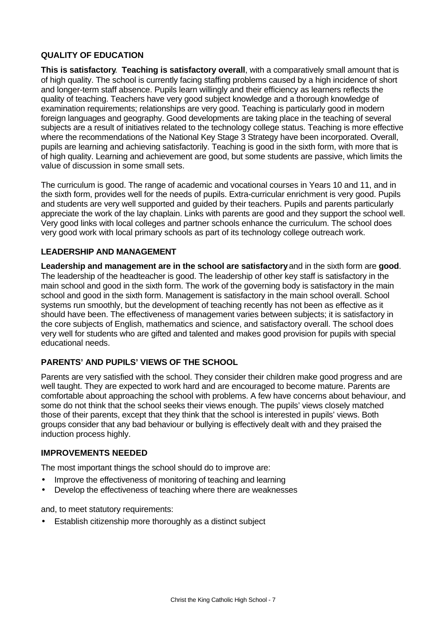# **QUALITY OF EDUCATION**

**This is satisfactory**. **Teaching is satisfactory overall**, with a comparatively small amount that is of high quality. The school is currently facing staffing problems caused by a high incidence of short and longer-term staff absence. Pupils learn willingly and their efficiency as learners reflects the quality of teaching. Teachers have very good subject knowledge and a thorough knowledge of examination requirements; relationships are very good. Teaching is particularly good in modern foreign languages and geography. Good developments are taking place in the teaching of several subjects are a result of initiatives related to the technology college status. Teaching is more effective where the recommendations of the National Key Stage 3 Strategy have been incorporated. Overall, pupils are learning and achieving satisfactorily. Teaching is good in the sixth form, with more that is of high quality. Learning and achievement are good, but some students are passive, which limits the value of discussion in some small sets.

The curriculum is good. The range of academic and vocational courses in Years 10 and 11, and in the sixth form, provides well for the needs of pupils. Extra-curricular enrichment is very good. Pupils and students are very well supported and guided by their teachers. Pupils and parents particularly appreciate the work of the lay chaplain. Links with parents are good and they support the school well. Very good links with local colleges and partner schools enhance the curriculum. The school does very good work with local primary schools as part of its technology college outreach work.

# **LEADERSHIP AND MANAGEMENT**

**Leadership and management are in the school are satisfactory** and in the sixth form are **good**. The leadership of the headteacher is good. The leadership of other key staff is satisfactory in the main school and good in the sixth form. The work of the governing body is satisfactory in the main school and good in the sixth form. Management is satisfactory in the main school overall. School systems run smoothly, but the development of teaching recently has not been as effective as it should have been. The effectiveness of management varies between subjects; it is satisfactory in the core subjects of English, mathematics and science, and satisfactory overall. The school does very well for students who are gifted and talented and makes good provision for pupils with special educational needs.

# **PARENTS' AND PUPILS' VIEWS OF THE SCHOOL**

Parents are very satisfied with the school. They consider their children make good progress and are well taught. They are expected to work hard and are encouraged to become mature. Parents are comfortable about approaching the school with problems. A few have concerns about behaviour, and some do not think that the school seeks their views enough. The pupils' views closely matched those of their parents, except that they think that the school is interested in pupils' views. Both groups consider that any bad behaviour or bullying is effectively dealt with and they praised the induction process highly.

# **IMPROVEMENTS NEEDED**

The most important things the school should do to improve are:

- Improve the effectiveness of monitoring of teaching and learning
- Develop the effectiveness of teaching where there are weaknesses

and, to meet statutory requirements:

• Establish citizenship more thoroughly as a distinct subject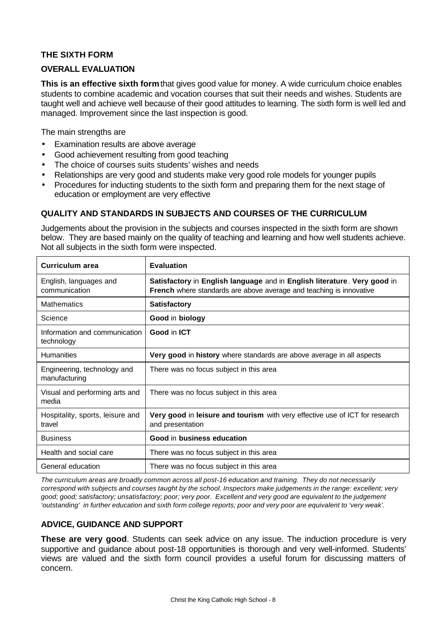# **THE SIXTH FORM**

# **OVERALL EVALUATION**

**This is an effective sixth form** that gives good value for money. A wide curriculum choice enables students to combine academic and vocation courses that suit their needs and wishes. Students are taught well and achieve well because of their good attitudes to learning. The sixth form is well led and managed. Improvement since the last inspection is good.

The main strengths are

- Examination results are above average
- Good achievement resulting from good teaching
- The choice of courses suits students' wishes and needs
- Relationships are very good and students make very good role models for younger pupils
- Procedures for inducting students to the sixth form and preparing them for the next stage of education or employment are very effective

# **QUALITY AND STANDARDS IN SUBJECTS AND COURSES OF THE CURRICULUM**

Judgements about the provision in the subjects and courses inspected in the sixth form are shown below. They are based mainly on the quality of teaching and learning and how well students achieve. Not all subjects in the sixth form were inspected.

| <b>Curriculum area</b>                       | <b>Evaluation</b>                                                                                                                                      |
|----------------------------------------------|--------------------------------------------------------------------------------------------------------------------------------------------------------|
| English, languages and<br>communication      | Satisfactory in English language and in English literature. Very good in<br><b>French</b> where standards are above average and teaching is innovative |
| <b>Mathematics</b>                           | <b>Satisfactory</b>                                                                                                                                    |
| Science                                      | Good in biology                                                                                                                                        |
| Information and communication<br>technology  | Good in ICT                                                                                                                                            |
| <b>Humanities</b>                            | Very good in history where standards are above average in all aspects                                                                                  |
| Engineering, technology and<br>manufacturing | There was no focus subject in this area                                                                                                                |
| Visual and performing arts and<br>media      | There was no focus subject in this area                                                                                                                |
| Hospitality, sports, leisure and<br>travel   | Very good in leisure and tourism with very effective use of ICT for research<br>and presentation                                                       |
| <b>Business</b>                              | Good in business education                                                                                                                             |
| Health and social care                       | There was no focus subject in this area                                                                                                                |
| General education                            | There was no focus subject in this area                                                                                                                |

*The curriculum areas are broadly common across all post-16 education and training. They do not necessarily correspond with subjects and courses taught by the school. Inspectors make judgements in the range: excellent; very good; good; satisfactory; unsatisfactory; poor; very poor. Excellent and very good are equivalent to the judgement 'outstanding' in further education and sixth form college reports; poor and very poor are equivalent to 'very weak'.*

# **ADVICE, GUIDANCE AND SUPPORT**

**These are very good**. Students can seek advice on any issue. The induction procedure is very supportive and guidance about post-18 opportunities is thorough and very well-informed. Students' views are valued and the sixth form council provides a useful forum for discussing matters of concern.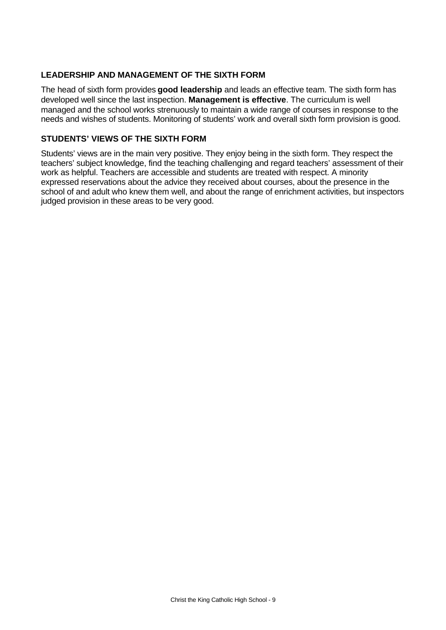# **LEADERSHIP AND MANAGEMENT OF THE SIXTH FORM**

The head of sixth form provides **good leadership** and leads an effective team. The sixth form has developed well since the last inspection. **Management is effective**. The curriculum is well managed and the school works strenuously to maintain a wide range of courses in response to the needs and wishes of students. Monitoring of students' work and overall sixth form provision is good.

# **STUDENTS' VIEWS OF THE SIXTH FORM**

Students' views are in the main very positive. They enjoy being in the sixth form. They respect the teachers' subject knowledge, find the teaching challenging and regard teachers' assessment of their work as helpful. Teachers are accessible and students are treated with respect. A minority expressed reservations about the advice they received about courses, about the presence in the school of and adult who knew them well, and about the range of enrichment activities, but inspectors judged provision in these areas to be very good.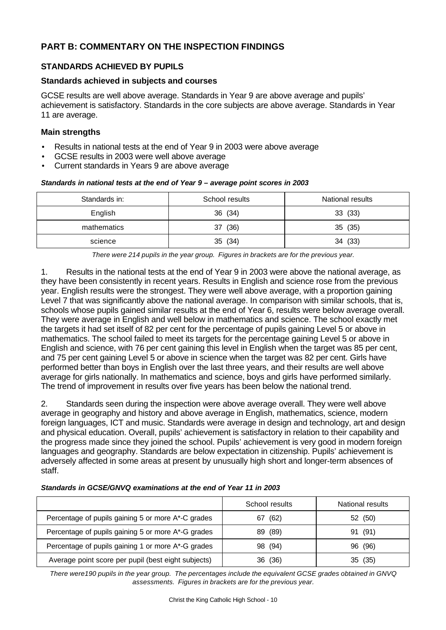# **PART B: COMMENTARY ON THE INSPECTION FINDINGS**

# **STANDARDS ACHIEVED BY PUPILS**

# **Standards achieved in subjects and courses**

GCSE results are well above average. Standards in Year 9 are above average and pupils' achievement is satisfactory. Standards in the core subjects are above average. Standards in Year 11 are average.

# **Main strengths**

- Results in national tests at the end of Year 9 in 2003 were above average
- GCSE results in 2003 were well above average
- Current standards in Years 9 are above average

#### *Standards in national tests at the end of Year 9 – average point scores in 2003*

| Standards in: | School results | National results |
|---------------|----------------|------------------|
| English       | 36 (34)        | 33 (33)          |
| mathematics   | (36)<br>37     | 35 (35)          |
| science       | 35 (34)        | (33)<br>34       |

*There were 214 pupils in the year group. Figures in brackets are for the previous year.*

1. Results in the national tests at the end of Year 9 in 2003 were above the national average, as they have been consistently in recent years. Results in English and science rose from the previous year. English results were the strongest. They were well above average, with a proportion gaining Level 7 that was significantly above the national average. In comparison with similar schools, that is, schools whose pupils gained similar results at the end of Year 6, results were below average overall. They were average in English and well below in mathematics and science. The school exactly met the targets it had set itself of 82 per cent for the percentage of pupils gaining Level 5 or above in mathematics. The school failed to meet its targets for the percentage gaining Level 5 or above in English and science, with 76 per cent gaining this level in English when the target was 85 per cent, and 75 per cent gaining Level 5 or above in science when the target was 82 per cent. Girls have performed better than boys in English over the last three years, and their results are well above average for girls nationally. In mathematics and science, boys and girls have performed similarly. The trend of improvement in results over five years has been below the national trend.

2. Standards seen during the inspection were above average overall. They were well above average in geography and history and above average in English, mathematics, science, modern foreign languages, ICT and music. Standards were average in design and technology, art and design and physical education. Overall, pupils' achievement is satisfactory in relation to their capability and the progress made since they joined the school. Pupils' achievement is very good in modern foreign languages and geography. Standards are below expectation in citizenship. Pupils' achievement is adversely affected in some areas at present by unusually high short and longer-term absences of staff.

|                                                     | School results | National results |
|-----------------------------------------------------|----------------|------------------|
| Percentage of pupils gaining 5 or more A*-C grades  | (62)<br>67     | 52 (50)          |
| Percentage of pupils gaining 5 or more A*-G grades  | (89)<br>89     | 91 (91)          |
| Percentage of pupils gaining 1 or more A*-G grades  | (94)<br>98.    | (96)<br>96.      |
| Average point score per pupil (best eight subjects) | (36)<br>36     | 35(35)           |

*Standards in GCSE/GNVQ examinations at the end of Year 11 in 2003*

*There were190 pupils in the year group. The percentages include the equivalent GCSE grades obtained in GNVQ assessments. Figures in brackets are for the previous year.*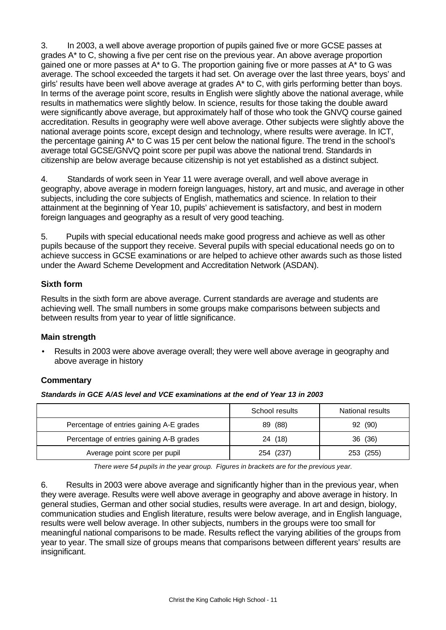3. In 2003, a well above average proportion of pupils gained five or more GCSE passes at grades A\* to C, showing a five per cent rise on the previous year. An above average proportion gained one or more passes at A\* to G. The proportion gaining five or more passes at A\* to G was average. The school exceeded the targets it had set. On average over the last three years, boys' and girls' results have been well above average at grades A\* to C, with girls performing better than boys. In terms of the average point score, results in English were slightly above the national average, while results in mathematics were slightly below. In science, results for those taking the double award were significantly above average, but approximately half of those who took the GNVQ course gained accreditation. Results in geography were well above average. Other subjects were slightly above the national average points score, except design and technology, where results were average. In ICT, the percentage gaining A\* to C was 15 per cent below the national figure. The trend in the school's average total GCSE/GNVQ point score per pupil was above the national trend. Standards in citizenship are below average because citizenship is not yet established as a distinct subject.

4. Standards of work seen in Year 11 were average overall, and well above average in geography, above average in modern foreign languages, history, art and music, and average in other subjects, including the core subjects of English, mathematics and science. In relation to their attainment at the beginning of Year 10, pupils' achievement is satisfactory, and best in modern foreign languages and geography as a result of very good teaching.

5. Pupils with special educational needs make good progress and achieve as well as other pupils because of the support they receive. Several pupils with special educational needs go on to achieve success in GCSE examinations or are helped to achieve other awards such as those listed under the Award Scheme Development and Accreditation Network (ASDAN).

# **Sixth form**

Results in the sixth form are above average. Current standards are average and students are achieving well. The small numbers in some groups make comparisons between subjects and between results from year to year of little significance.

# **Main strength**

• Results in 2003 were above average overall; they were well above average in geography and above average in history

# **Commentary**

*Standards in GCE A/AS level and VCE examinations at the end of Year 13 in 2003*

|                                          | School results | National results |
|------------------------------------------|----------------|------------------|
| Percentage of entries gaining A-E grades | (88)<br>89.    | 92 (90)          |
| Percentage of entries gaining A-B grades | 24 (18)        | 36 (36)          |
| Average point score per pupil            | 254 (237)      | 253 (255)        |

*There were 54 pupils in the year group. Figures in brackets are for the previous year.*

6. Results in 2003 were above average and significantly higher than in the previous year, when they were average. Results were well above average in geography and above average in history. In general studies, German and other social studies, results were average. In art and design, biology, communication studies and English literature, results were below average, and in English language, results were well below average. In other subjects, numbers in the groups were too small for meaningful national comparisons to be made. Results reflect the varying abilities of the groups from year to year. The small size of groups means that comparisons between different years' results are insignificant.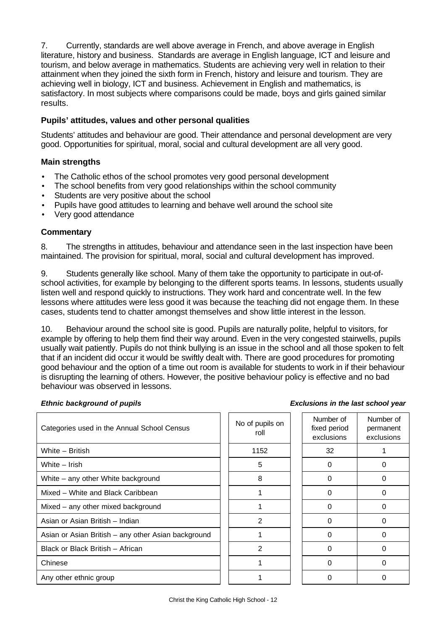7. Currently, standards are well above average in French, and above average in English literature, history and business. Standards are average in English language, ICT and leisure and tourism, and below average in mathematics. Students are achieving very well in relation to their attainment when they joined the sixth form in French, history and leisure and tourism. They are achieving well in biology, ICT and business. Achievement in English and mathematics, is satisfactory. In most subjects where comparisons could be made, boys and girls gained similar results.

# **Pupils' attitudes, values and other personal qualities**

Students' attitudes and behaviour are good. Their attendance and personal development are very good. Opportunities for spiritual, moral, social and cultural development are all very good.

# **Main strengths**

- The Catholic ethos of the school promotes very good personal development
- The school benefits from very good relationships within the school community
- Students are very positive about the school
- Pupils have good attitudes to learning and behave well around the school site
- Very good attendance

# **Commentary**

8. The strengths in attitudes, behaviour and attendance seen in the last inspection have been maintained. The provision for spiritual, moral, social and cultural development has improved.

9. Students generally like school. Many of them take the opportunity to participate in out-ofschool activities, for example by belonging to the different sports teams. In lessons, students usually listen well and respond quickly to instructions. They work hard and concentrate well. In the few lessons where attitudes were less good it was because the teaching did not engage them. In these cases, students tend to chatter amongst themselves and show little interest in the lesson.

10. Behaviour around the school site is good. Pupils are naturally polite, helpful to visitors, for example by offering to help them find their way around. Even in the very congested stairwells, pupils usually wait patiently. Pupils do not think bullying is an issue in the school and all those spoken to felt that if an incident did occur it would be swiftly dealt with. There are good procedures for promoting good behaviour and the option of a time out room is available for students to work in if their behaviour is disrupting the learning of others. However, the positive behaviour policy is effective and no bad behaviour was observed in lessons.

#### *Ethnic background of pupils*

| <b>Exclusions in the last school year</b> |  |  |  |
|-------------------------------------------|--|--|--|
|                                           |  |  |  |

| Categories used in the Annual School Census         | No of pupils on<br>roll | Number of<br>fixed period<br>exclusions | Number of<br>permanent<br>exclusions |
|-----------------------------------------------------|-------------------------|-----------------------------------------|--------------------------------------|
| White - British                                     | 1152                    | 32                                      |                                      |
| White - Irish                                       | 5                       | 0                                       | 0                                    |
| White – any other White background                  | 8                       | 0                                       | 0                                    |
| Mixed - White and Black Caribbean                   |                         | $\Omega$                                | 0                                    |
| Mixed - any other mixed background                  |                         | $\Omega$                                | 0                                    |
| Asian or Asian British - Indian                     | 2                       | $\Omega$                                | 0                                    |
| Asian or Asian British - any other Asian background |                         | $\Omega$                                | $\Omega$                             |
| Black or Black British - African                    | $\mathfrak{p}$          | $\Omega$                                | 0                                    |
| Chinese                                             |                         | $\Omega$                                | 0                                    |
| Any other ethnic group                              |                         | 0                                       | 0                                    |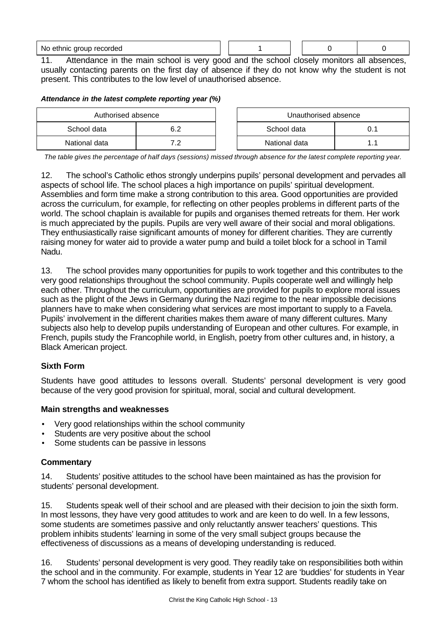No ethnic group recorded and the set of the set of the set of the set of the set of the set of the set of the set of the set of the set of the set of the set of the set of the set of the set of the set of the set of the se

11. Attendance in the main school is very good and the school closely monitors all absences, usually contacting parents on the first day of absence if they do not know why the student is not present. This contributes to the low level of unauthorised absence.

# *Attendance in the latest complete reporting year (%)*

| Authorised absence |            |  | Unauthorised absence |  |
|--------------------|------------|--|----------------------|--|
| School data        | 6.2        |  | School data          |  |
| National data      | . <u>.</u> |  | National data        |  |

*The table gives the percentage of half days (sessions) missed through absence for the latest complete reporting year.*

12. The school's Catholic ethos strongly underpins pupils' personal development and pervades all aspects of school life. The school places a high importance on pupils' spiritual development. Assemblies and form time make a strong contribution to this area. Good opportunities are provided across the curriculum, for example, for reflecting on other peoples problems in different parts of the world. The school chaplain is available for pupils and organises themed retreats for them. Her work is much appreciated by the pupils. Pupils are very well aware of their social and moral obligations. They enthusiastically raise significant amounts of money for different charities. They are currently raising money for water aid to provide a water pump and build a toilet block for a school in Tamil Nadu.

13. The school provides many opportunities for pupils to work together and this contributes to the very good relationships throughout the school community. Pupils cooperate well and willingly help each other. Throughout the curriculum, opportunities are provided for pupils to explore moral issues such as the plight of the Jews in Germany during the Nazi regime to the near impossible decisions planners have to make when considering what services are most important to supply to a Favela. Pupils' involvement in the different charities makes them aware of many different cultures. Many subjects also help to develop pupils understanding of European and other cultures. For example, in French, pupils study the Francophile world, in English, poetry from other cultures and, in history, a Black American project.

# **Sixth Form**

Students have good attitudes to lessons overall. Students' personal development is very good because of the very good provision for spiritual, moral, social and cultural development.

# **Main strengths and weaknesses**

- Very good relationships within the school community
- Students are very positive about the school
- Some students can be passive in lessons

# **Commentary**

14. Students' positive attitudes to the school have been maintained as has the provision for students' personal development.

15. Students speak well of their school and are pleased with their decision to join the sixth form. In most lessons, they have very good attitudes to work and are keen to do well. In a few lessons, some students are sometimes passive and only reluctantly answer teachers' questions. This problem inhibits students' learning in some of the very small subject groups because the effectiveness of discussions as a means of developing understanding is reduced.

16. Students' personal development is very good. They readily take on responsibilities both within the school and in the community. For example, students in Year 12 are 'buddies' for students in Year 7 whom the school has identified as likely to benefit from extra support. Students readily take on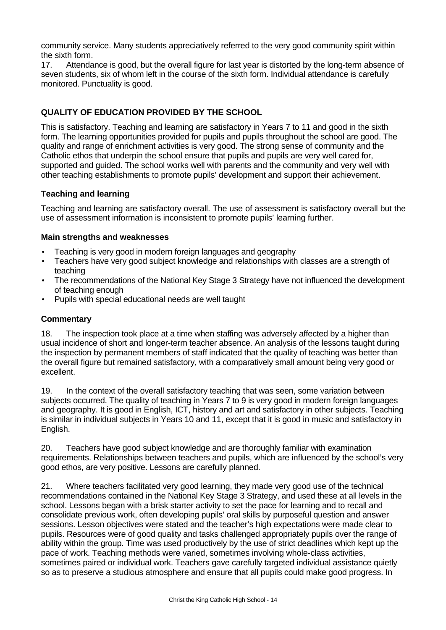community service. Many students appreciatively referred to the very good community spirit within the sixth form.

17. Attendance is good, but the overall figure for last year is distorted by the long-term absence of seven students, six of whom left in the course of the sixth form. Individual attendance is carefully monitored. Punctuality is good.

# **QUALITY OF EDUCATION PROVIDED BY THE SCHOOL**

This is satisfactory. Teaching and learning are satisfactory in Years 7 to 11 and good in the sixth form. The learning opportunities provided for pupils and pupils throughout the school are good. The quality and range of enrichment activities is very good. The strong sense of community and the Catholic ethos that underpin the school ensure that pupils and pupils are very well cared for, supported and guided. The school works well with parents and the community and very well with other teaching establishments to promote pupils' development and support their achievement.

# **Teaching and learning**

Teaching and learning are satisfactory overall. The use of assessment is satisfactory overall but the use of assessment information is inconsistent to promote pupils' learning further.

#### **Main strengths and weaknesses**

- Teaching is very good in modern foreign languages and geography
- Teachers have very good subject knowledge and relationships with classes are a strength of teaching
- The recommendations of the National Key Stage 3 Strategy have not influenced the development of teaching enough
- Pupils with special educational needs are well taught

#### **Commentary**

18. The inspection took place at a time when staffing was adversely affected by a higher than usual incidence of short and longer-term teacher absence. An analysis of the lessons taught during the inspection by permanent members of staff indicated that the quality of teaching was better than the overall figure but remained satisfactory, with a comparatively small amount being very good or excellent.

19. In the context of the overall satisfactory teaching that was seen, some variation between subjects occurred. The quality of teaching in Years 7 to 9 is very good in modern foreign languages and geography. It is good in English, ICT, history and art and satisfactory in other subjects. Teaching is similar in individual subjects in Years 10 and 11, except that it is good in music and satisfactory in English.

20. Teachers have good subject knowledge and are thoroughly familiar with examination requirements. Relationships between teachers and pupils, which are influenced by the school's very good ethos, are very positive. Lessons are carefully planned.

21. Where teachers facilitated very good learning, they made very good use of the technical recommendations contained in the National Key Stage 3 Strategy, and used these at all levels in the school. Lessons began with a brisk starter activity to set the pace for learning and to recall and consolidate previous work, often developing pupils' oral skills by purposeful question and answer sessions. Lesson objectives were stated and the teacher's high expectations were made clear to pupils. Resources were of good quality and tasks challenged appropriately pupils over the range of ability within the group. Time was used productively by the use of strict deadlines which kept up the pace of work. Teaching methods were varied, sometimes involving whole-class activities, sometimes paired or individual work. Teachers gave carefully targeted individual assistance quietly so as to preserve a studious atmosphere and ensure that all pupils could make good progress. In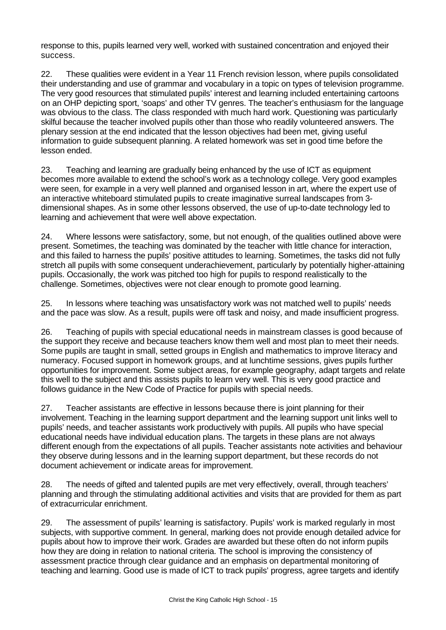response to this, pupils learned very well, worked with sustained concentration and enjoyed their success.

22. These qualities were evident in a Year 11 French revision lesson, where pupils consolidated their understanding and use of grammar and vocabulary in a topic on types of television programme. The very good resources that stimulated pupils' interest and learning included entertaining cartoons on an OHP depicting sport, 'soaps' and other TV genres. The teacher's enthusiasm for the language was obvious to the class. The class responded with much hard work. Questioning was particularly skilful because the teacher involved pupils other than those who readily volunteered answers. The plenary session at the end indicated that the lesson objectives had been met, giving useful information to guide subsequent planning. A related homework was set in good time before the lesson ended.

23. Teaching and learning are gradually being enhanced by the use of ICT as equipment becomes more available to extend the school's work as a technology college. Very good examples were seen, for example in a very well planned and organised lesson in art, where the expert use of an interactive whiteboard stimulated pupils to create imaginative surreal landscapes from 3 dimensional shapes. As in some other lessons observed, the use of up-to-date technology led to learning and achievement that were well above expectation.

24. Where lessons were satisfactory, some, but not enough, of the qualities outlined above were present. Sometimes, the teaching was dominated by the teacher with little chance for interaction, and this failed to harness the pupils' positive attitudes to learning. Sometimes, the tasks did not fully stretch all pupils with some consequent underachievement, particularly by potentially higher-attaining pupils. Occasionally, the work was pitched too high for pupils to respond realistically to the challenge. Sometimes, objectives were not clear enough to promote good learning.

25. In lessons where teaching was unsatisfactory work was not matched well to pupils' needs and the pace was slow. As a result, pupils were off task and noisy, and made insufficient progress.

26. Teaching of pupils with special educational needs in mainstream classes is good because of the support they receive and because teachers know them well and most plan to meet their needs. Some pupils are taught in small, setted groups in English and mathematics to improve literacy and numeracy. Focused support in homework groups, and at lunchtime sessions, gives pupils further opportunities for improvement. Some subject areas, for example geography, adapt targets and relate this well to the subject and this assists pupils to learn very well. This is very good practice and follows guidance in the New Code of Practice for pupils with special needs.

27. Teacher assistants are effective in lessons because there is joint planning for their involvement. Teaching in the learning support department and the learning support unit links well to pupils' needs, and teacher assistants work productively with pupils. All pupils who have special educational needs have individual education plans. The targets in these plans are not always different enough from the expectations of all pupils. Teacher assistants note activities and behaviour they observe during lessons and in the learning support department, but these records do not document achievement or indicate areas for improvement.

28. The needs of gifted and talented pupils are met very effectively, overall, through teachers' planning and through the stimulating additional activities and visits that are provided for them as part of extracurricular enrichment.

29. The assessment of pupils' learning is satisfactory. Pupils' work is marked regularly in most subjects, with supportive comment. In general, marking does not provide enough detailed advice for pupils about how to improve their work. Grades are awarded but these often do not inform pupils how they are doing in relation to national criteria. The school is improving the consistency of assessment practice through clear guidance and an emphasis on departmental monitoring of teaching and learning. Good use is made of ICT to track pupils' progress, agree targets and identify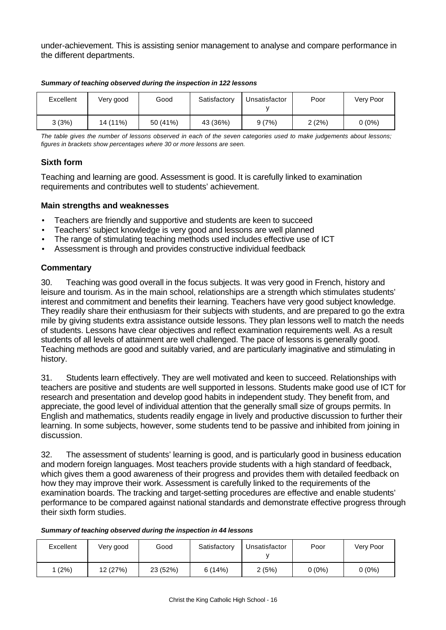under-achievement. This is assisting senior management to analyse and compare performance in the different departments.

| Excellent | Very good | Good     | Satisfactory | Unsatisfactor | Poor  | Very Poor |
|-----------|-----------|----------|--------------|---------------|-------|-----------|
| 3(3%)     | 14 (11%)  | 50 (41%) | 43 (36%)     | 9(7%)         | 2(2%) | $0(0\%)$  |

*Summary of teaching observed during the inspection in 122 lessons*

*The table gives the number of lessons observed in each of the seven categories used to make judgements about lessons; figures in brackets show percentages where 30 or more lessons are seen.*

# **Sixth form**

Teaching and learning are good. Assessment is good. It is carefully linked to examination requirements and contributes well to students' achievement.

# **Main strengths and weaknesses**

- Teachers are friendly and supportive and students are keen to succeed
- Teachers' subject knowledge is very good and lessons are well planned
- The range of stimulating teaching methods used includes effective use of ICT
- Assessment is through and provides constructive individual feedback

# **Commentary**

30. Teaching was good overall in the focus subjects. It was very good in French, history and leisure and tourism. As in the main school, relationships are a strength which stimulates students' interest and commitment and benefits their learning. Teachers have very good subject knowledge. They readily share their enthusiasm for their subjects with students, and are prepared to go the extra mile by giving students extra assistance outside lessons. They plan lessons well to match the needs of students. Lessons have clear objectives and reflect examination requirements well. As a result students of all levels of attainment are well challenged. The pace of lessons is generally good. Teaching methods are good and suitably varied, and are particularly imaginative and stimulating in history.

31. Students learn effectively. They are well motivated and keen to succeed. Relationships with teachers are positive and students are well supported in lessons. Students make good use of ICT for research and presentation and develop good habits in independent study. They benefit from, and appreciate, the good level of individual attention that the generally small size of groups permits. In English and mathematics, students readily engage in lively and productive discussion to further their learning. In some subjects, however, some students tend to be passive and inhibited from joining in discussion.

32. The assessment of students' learning is good, and is particularly good in business education and modern foreign languages. Most teachers provide students with a high standard of feedback, which gives them a good awareness of their progress and provides them with detailed feedback on how they may improve their work. Assessment is carefully linked to the requirements of the examination boards. The tracking and target-setting procedures are effective and enable students' performance to be compared against national standards and demonstrate effective progress through their sixth form studies.

#### *Summary of teaching observed during the inspection in 44 lessons*

| Excellent | Very good | Good     | Satisfactory | Unsatisfactor | Poor     | Very Poor |
|-----------|-----------|----------|--------------|---------------|----------|-----------|
| (2%)      | 12 (27%)  | 23 (52%) | 6(14%)       | 2(5%)         | $0(0\%)$ | $0(0\%)$  |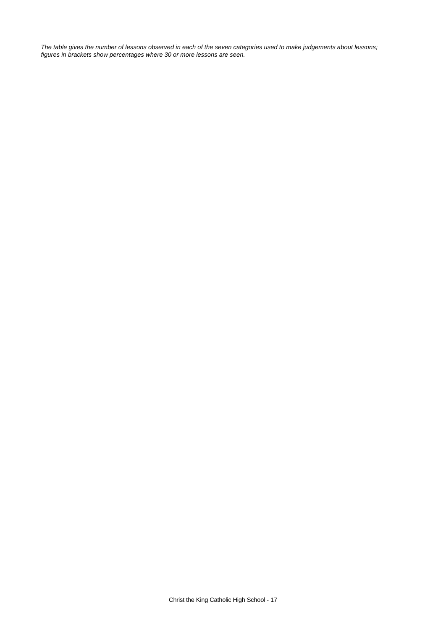*The table gives the number of lessons observed in each of the seven categories used to make judgements about lessons; figures in brackets show percentages where 30 or more lessons are seen.*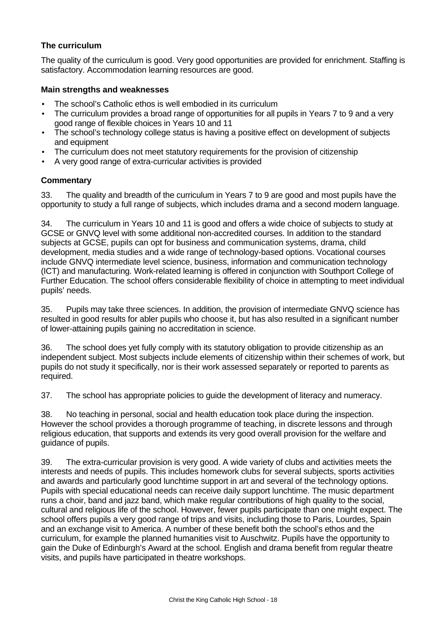# **The curriculum**

The quality of the curriculum is good. Very good opportunities are provided for enrichment. Staffing is satisfactory. Accommodation learning resources are good.

# **Main strengths and weaknesses**

- The school's Catholic ethos is well embodied in its curriculum
- The curriculum provides a broad range of opportunities for all pupils in Years 7 to 9 and a very good range of flexible choices in Years 10 and 11
- The school's technology college status is having a positive effect on development of subjects and equipment
- The curriculum does not meet statutory requirements for the provision of citizenship
- A very good range of extra-curricular activities is provided

# **Commentary**

33. The quality and breadth of the curriculum in Years 7 to 9 are good and most pupils have the opportunity to study a full range of subjects, which includes drama and a second modern language.

34. The curriculum in Years 10 and 11 is good and offers a wide choice of subjects to study at GCSE or GNVQ level with some additional non-accredited courses. In addition to the standard subjects at GCSE, pupils can opt for business and communication systems, drama, child development, media studies and a wide range of technology-based options. Vocational courses include GNVQ intermediate level science, business, information and communication technology (ICT) and manufacturing. Work-related learning is offered in conjunction with Southport College of Further Education. The school offers considerable flexibility of choice in attempting to meet individual pupils' needs.

35. Pupils may take three sciences. In addition, the provision of intermediate GNVQ science has resulted in good results for abler pupils who choose it, but has also resulted in a significant number of lower-attaining pupils gaining no accreditation in science.

36. The school does yet fully comply with its statutory obligation to provide citizenship as an independent subject. Most subjects include elements of citizenship within their schemes of work, but pupils do not study it specifically, nor is their work assessed separately or reported to parents as required.

37. The school has appropriate policies to guide the development of literacy and numeracy.

38. No teaching in personal, social and health education took place during the inspection. However the school provides a thorough programme of teaching, in discrete lessons and through religious education, that supports and extends its very good overall provision for the welfare and guidance of pupils.

39. The extra-curricular provision is very good. A wide variety of clubs and activities meets the interests and needs of pupils. This includes homework clubs for several subjects, sports activities and awards and particularly good lunchtime support in art and several of the technology options. Pupils with special educational needs can receive daily support lunchtime. The music department runs a choir, band and jazz band, which make regular contributions of high quality to the social, cultural and religious life of the school. However, fewer pupils participate than one might expect. The school offers pupils a very good range of trips and visits, including those to Paris, Lourdes, Spain and an exchange visit to America. A number of these benefit both the school's ethos and the curriculum, for example the planned humanities visit to Auschwitz. Pupils have the opportunity to gain the Duke of Edinburgh's Award at the school. English and drama benefit from regular theatre visits, and pupils have participated in theatre workshops.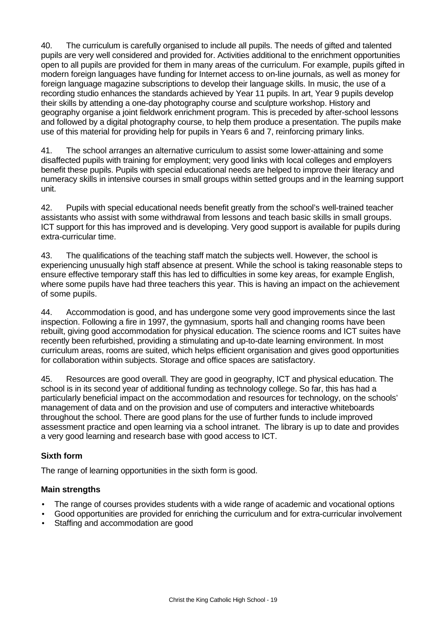40. The curriculum is carefully organised to include all pupils. The needs of gifted and talented pupils are very well considered and provided for. Activities additional to the enrichment opportunities open to all pupils are provided for them in many areas of the curriculum. For example, pupils gifted in modern foreign languages have funding for Internet access to on-line journals, as well as money for foreign language magazine subscriptions to develop their language skills. In music, the use of a recording studio enhances the standards achieved by Year 11 pupils. In art, Year 9 pupils develop their skills by attending a one-day photography course and sculpture workshop. History and geography organise a joint fieldwork enrichment program. This is preceded by after-school lessons and followed by a digital photography course, to help them produce a presentation. The pupils make use of this material for providing help for pupils in Years 6 and 7, reinforcing primary links.

41. The school arranges an alternative curriculum to assist some lower-attaining and some disaffected pupils with training for employment; very good links with local colleges and employers benefit these pupils. Pupils with special educational needs are helped to improve their literacy and numeracy skills in intensive courses in small groups within setted groups and in the learning support unit.

42. Pupils with special educational needs benefit greatly from the school's well-trained teacher assistants who assist with some withdrawal from lessons and teach basic skills in small groups. ICT support for this has improved and is developing. Very good support is available for pupils during extra-curricular time.

43. The qualifications of the teaching staff match the subjects well. However, the school is experiencing unusually high staff absence at present. While the school is taking reasonable steps to ensure effective temporary staff this has led to difficulties in some key areas, for example English, where some pupils have had three teachers this year. This is having an impact on the achievement of some pupils.

44. Accommodation is good, and has undergone some very good improvements since the last inspection. Following a fire in 1997, the gymnasium, sports hall and changing rooms have been rebuilt, giving good accommodation for physical education. The science rooms and ICT suites have recently been refurbished, providing a stimulating and up-to-date learning environment. In most curriculum areas, rooms are suited, which helps efficient organisation and gives good opportunities for collaboration within subjects. Storage and office spaces are satisfactory.

45. Resources are good overall. They are good in geography, ICT and physical education. The school is in its second year of additional funding as technology college. So far, this has had a particularly beneficial impact on the accommodation and resources for technology, on the schools' management of data and on the provision and use of computers and interactive whiteboards throughout the school. There are good plans for the use of further funds to include improved assessment practice and open learning via a school intranet. The library is up to date and provides a very good learning and research base with good access to ICT.

# **Sixth form**

The range of learning opportunities in the sixth form is good.

# **Main strengths**

- The range of courses provides students with a wide range of academic and vocational options
- Good opportunities are provided for enriching the curriculum and for extra-curricular involvement
- Staffing and accommodation are good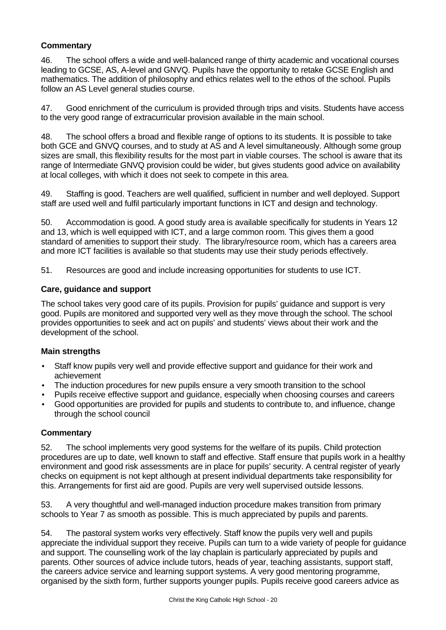# **Commentary**

46. The school offers a wide and well-balanced range of thirty academic and vocational courses leading to GCSE, AS, A-level and GNVQ. Pupils have the opportunity to retake GCSE English and mathematics. The addition of philosophy and ethics relates well to the ethos of the school. Pupils follow an AS Level general studies course.

47. Good enrichment of the curriculum is provided through trips and visits. Students have access to the very good range of extracurricular provision available in the main school.

48. The school offers a broad and flexible range of options to its students. It is possible to take both GCE and GNVQ courses, and to study at AS and A level simultaneously. Although some group sizes are small, this flexibility results for the most part in viable courses. The school is aware that its range of Intermediate GNVQ provision could be wider, but gives students good advice on availability at local colleges, with which it does not seek to compete in this area.

49. Staffing is good. Teachers are well qualified, sufficient in number and well deployed. Support staff are used well and fulfil particularly important functions in ICT and design and technology.

50. Accommodation is good. A good study area is available specifically for students in Years 12 and 13, which is well equipped with ICT, and a large common room. This gives them a good standard of amenities to support their study. The library/resource room, which has a careers area and more ICT facilities is available so that students may use their study periods effectively.

51. Resources are good and include increasing opportunities for students to use ICT.

# **Care, guidance and support**

The school takes very good care of its pupils. Provision for pupils' guidance and support is very good. Pupils are monitored and supported very well as they move through the school. The school provides opportunities to seek and act on pupils' and students' views about their work and the development of the school.

# **Main strengths**

- Staff know pupils very well and provide effective support and guidance for their work and achievement
- The induction procedures for new pupils ensure a very smooth transition to the school
- Pupils receive effective support and guidance, especially when choosing courses and careers
- Good opportunities are provided for pupils and students to contribute to, and influence, change through the school council

# **Commentary**

52. The school implements very good systems for the welfare of its pupils. Child protection procedures are up to date, well known to staff and effective. Staff ensure that pupils work in a healthy environment and good risk assessments are in place for pupils' security. A central register of yearly checks on equipment is not kept although at present individual departments take responsibility for this. Arrangements for first aid are good. Pupils are very well supervised outside lessons.

53. A very thoughtful and well-managed induction procedure makes transition from primary schools to Year 7 as smooth as possible. This is much appreciated by pupils and parents.

54. The pastoral system works very effectively. Staff know the pupils very well and pupils appreciate the individual support they receive. Pupils can turn to a wide variety of people for guidance and support. The counselling work of the lay chaplain is particularly appreciated by pupils and parents. Other sources of advice include tutors, heads of year, teaching assistants, support staff, the careers advice service and learning support systems. A very good mentoring programme, organised by the sixth form, further supports younger pupils. Pupils receive good careers advice as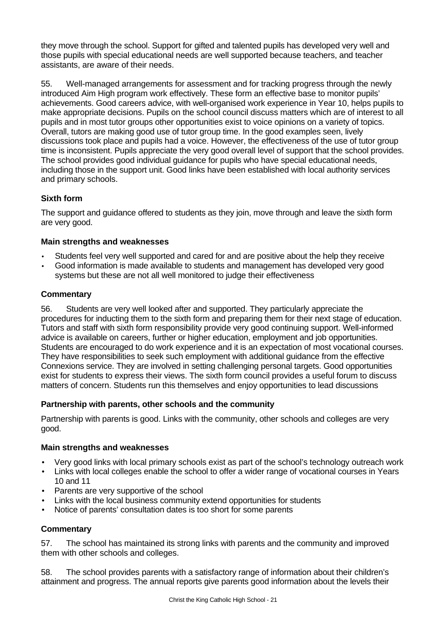they move through the school. Support for gifted and talented pupils has developed very well and those pupils with special educational needs are well supported because teachers, and teacher assistants, are aware of their needs.

55. Well-managed arrangements for assessment and for tracking progress through the newly introduced Aim High program work effectively. These form an effective base to monitor pupils' achievements. Good careers advice, with well-organised work experience in Year 10, helps pupils to make appropriate decisions. Pupils on the school council discuss matters which are of interest to all pupils and in most tutor groups other opportunities exist to voice opinions on a variety of topics. Overall, tutors are making good use of tutor group time. In the good examples seen, lively discussions took place and pupils had a voice. However, the effectiveness of the use of tutor group time is inconsistent. Pupils appreciate the very good overall level of support that the school provides. The school provides good individual guidance for pupils who have special educational needs, including those in the support unit. Good links have been established with local authority services and primary schools.

# **Sixth form**

The support and guidance offered to students as they join, move through and leave the sixth form are very good.

# **Main strengths and weaknesses**

- Students feel very well supported and cared for and are positive about the help they receive
- Good information is made available to students and management has developed very good systems but these are not all well monitored to judge their effectiveness

# **Commentary**

56. Students are very well looked after and supported. They particularly appreciate the procedures for inducting them to the sixth form and preparing them for their next stage of education. Tutors and staff with sixth form responsibility provide very good continuing support. Well-informed advice is available on careers, further or higher education, employment and job opportunities. Students are encouraged to do work experience and it is an expectation of most vocational courses. They have responsibilities to seek such employment with additional guidance from the effective Connexions service. They are involved in setting challenging personal targets. Good opportunities exist for students to express their views. The sixth form council provides a useful forum to discuss matters of concern. Students run this themselves and enjoy opportunities to lead discussions

# **Partnership with parents, other schools and the community**

Partnership with parents is good. Links with the community, other schools and colleges are very good.

# **Main strengths and weaknesses**

- Very good links with local primary schools exist as part of the school's technology outreach work
- Links with local colleges enable the school to offer a wider range of vocational courses in Years 10 and 11
- Parents are very supportive of the school
- Links with the local business community extend opportunities for students
- Notice of parents' consultation dates is too short for some parents

# **Commentary**

57. The school has maintained its strong links with parents and the community and improved them with other schools and colleges.

58. The school provides parents with a satisfactory range of information about their children's attainment and progress. The annual reports give parents good information about the levels their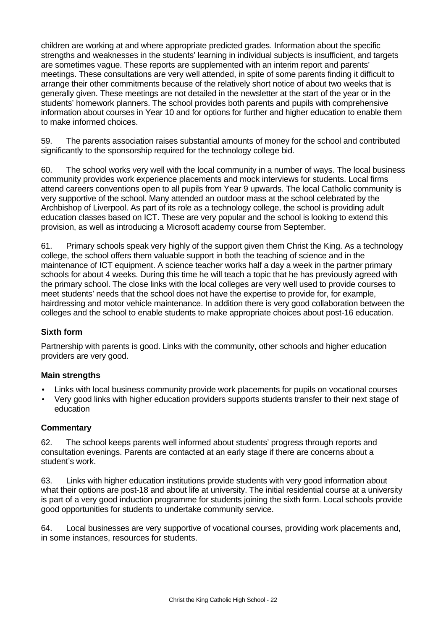children are working at and where appropriate predicted grades. Information about the specific strengths and weaknesses in the students' learning in individual subjects is insufficient, and targets are sometimes vague. These reports are supplemented with an interim report and parents' meetings. These consultations are very well attended, in spite of some parents finding it difficult to arrange their other commitments because of the relatively short notice of about two weeks that is generally given. These meetings are not detailed in the newsletter at the start of the year or in the students' homework planners. The school provides both parents and pupils with comprehensive information about courses in Year 10 and for options for further and higher education to enable them to make informed choices.

59. The parents association raises substantial amounts of money for the school and contributed significantly to the sponsorship required for the technology college bid.

60. The school works very well with the local community in a number of ways. The local business community provides work experience placements and mock interviews for students. Local firms attend careers conventions open to all pupils from Year 9 upwards. The local Catholic community is very supportive of the school. Many attended an outdoor mass at the school celebrated by the Archbishop of Liverpool. As part of its role as a technology college, the school is providing adult education classes based on ICT. These are very popular and the school is looking to extend this provision, as well as introducing a Microsoft academy course from September.

61. Primary schools speak very highly of the support given them Christ the King. As a technology college, the school offers them valuable support in both the teaching of science and in the maintenance of ICT equipment. A science teacher works half a day a week in the partner primary schools for about 4 weeks. During this time he will teach a topic that he has previously agreed with the primary school. The close links with the local colleges are very well used to provide courses to meet students' needs that the school does not have the expertise to provide for, for example, hairdressing and motor vehicle maintenance. In addition there is very good collaboration between the colleges and the school to enable students to make appropriate choices about post-16 education.

# **Sixth form**

Partnership with parents is good. Links with the community, other schools and higher education providers are very good.

# **Main strengths**

- Links with local business community provide work placements for pupils on vocational courses
- Very good links with higher education providers supports students transfer to their next stage of education

# **Commentary**

62. The school keeps parents well informed about students' progress through reports and consultation evenings. Parents are contacted at an early stage if there are concerns about a student's work.

63. Links with higher education institutions provide students with very good information about what their options are post-18 and about life at university. The initial residential course at a university is part of a very good induction programme for students joining the sixth form. Local schools provide good opportunities for students to undertake community service.

64. Local businesses are very supportive of vocational courses, providing work placements and, in some instances, resources for students.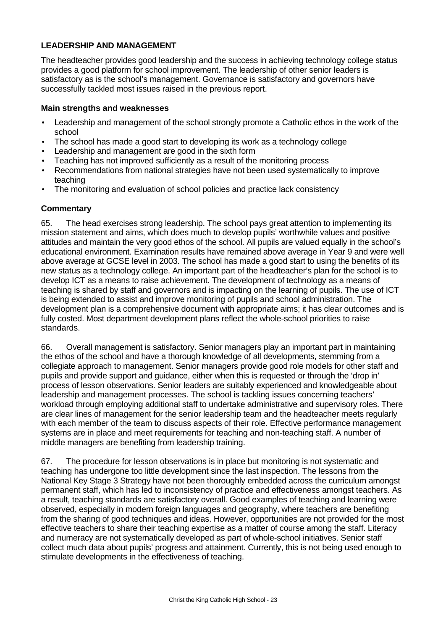# **LEADERSHIP AND MANAGEMENT**

The headteacher provides good leadership and the success in achieving technology college status provides a good platform for school improvement. The leadership of other senior leaders is satisfactory as is the school's management. Governance is satisfactory and governors have successfully tackled most issues raised in the previous report.

#### **Main strengths and weaknesses**

- Leadership and management of the school strongly promote a Catholic ethos in the work of the school
- The school has made a good start to developing its work as a technology college
- Leadership and management are good in the sixth form
- Teaching has not improved sufficiently as a result of the monitoring process
- Recommendations from national strategies have not been used systematically to improve teaching
- The monitoring and evaluation of school policies and practice lack consistency

# **Commentary**

65. The head exercises strong leadership. The school pays great attention to implementing its mission statement and aims, which does much to develop pupils' worthwhile values and positive attitudes and maintain the very good ethos of the school. All pupils are valued equally in the school's educational environment. Examination results have remained above average in Year 9 and were well above average at GCSE level in 2003. The school has made a good start to using the benefits of its new status as a technology college. An important part of the headteacher's plan for the school is to develop ICT as a means to raise achievement. The development of technology as a means of teaching is shared by staff and governors and is impacting on the learning of pupils. The use of ICT is being extended to assist and improve monitoring of pupils and school administration. The development plan is a comprehensive document with appropriate aims; it has clear outcomes and is fully costed. Most department development plans reflect the whole-school priorities to raise standards.

66. Overall management is satisfactory. Senior managers play an important part in maintaining the ethos of the school and have a thorough knowledge of all developments, stemming from a collegiate approach to management. Senior managers provide good role models for other staff and pupils and provide support and guidance, either when this is requested or through the 'drop in' process of lesson observations. Senior leaders are suitably experienced and knowledgeable about leadership and management processes. The school is tackling issues concerning teachers' workload through employing additional staff to undertake administrative and supervisory roles. There are clear lines of management for the senior leadership team and the headteacher meets regularly with each member of the team to discuss aspects of their role. Effective performance management systems are in place and meet requirements for teaching and non-teaching staff. A number of middle managers are benefiting from leadership training.

67. The procedure for lesson observations is in place but monitoring is not systematic and teaching has undergone too little development since the last inspection. The lessons from the National Key Stage 3 Strategy have not been thoroughly embedded across the curriculum amongst permanent staff, which has led to inconsistency of practice and effectiveness amongst teachers. As a result, teaching standards are satisfactory overall. Good examples of teaching and learning were observed, especially in modern foreign languages and geography, where teachers are benefiting from the sharing of good techniques and ideas. However, opportunities are not provided for the most effective teachers to share their teaching expertise as a matter of course among the staff. Literacy and numeracy are not systematically developed as part of whole-school initiatives. Senior staff collect much data about pupils' progress and attainment. Currently, this is not being used enough to stimulate developments in the effectiveness of teaching.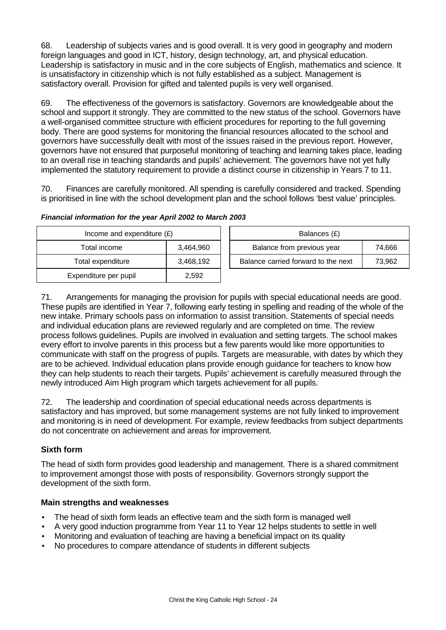68. Leadership of subjects varies and is good overall. It is very good in geography and modern foreign languages and good in ICT, history, design technology, art, and physical education. Leadership is satisfactory in music and in the core subjects of English, mathematics and science. It is unsatisfactory in citizenship which is not fully established as a subject. Management is satisfactory overall. Provision for gifted and talented pupils is very well organised.

69. The effectiveness of the governors is satisfactory. Governors are knowledgeable about the school and support it strongly. They are committed to the new status of the school. Governors have a well-organised committee structure with efficient procedures for reporting to the full governing body. There are good systems for monitoring the financial resources allocated to the school and governors have successfully dealt with most of the issues raised in the previous report. However, governors have not ensured that purposeful monitoring of teaching and learning takes place, leading to an overall rise in teaching standards and pupils' achievement. The governors have not yet fully implemented the statutory requirement to provide a distinct course in citizenship in Years 7 to 11.

70. Finances are carefully monitored. All spending is carefully considered and tracked. Spending is prioritised in line with the school development plan and the school follows 'best value' principles.

| Income and expenditure $(E)$ |           | Balances (£)                        |        |
|------------------------------|-----------|-------------------------------------|--------|
| Total income                 | 3,464,960 | Balance from previous year          | 74,666 |
| Total expenditure            | 3,468,192 | Balance carried forward to the next | 73,962 |
| Expenditure per pupil        | 2.592     |                                     |        |

| Income and expenditure $(E)$ |           | Balances (£)                        |        |
|------------------------------|-----------|-------------------------------------|--------|
| Total income                 | 3,464,960 | Balance from previous year          | 74.666 |
| ptal expenditure             | 3.468.192 | Balance carried forward to the next | 73.962 |

| Financial information for the year April 2002 to March 2003 |  |  |
|-------------------------------------------------------------|--|--|
|                                                             |  |  |

71. Arrangements for managing the provision for pupils with special educational needs are good. These pupils are identified in Year 7, following early testing in spelling and reading of the whole of the new intake. Primary schools pass on information to assist transition. Statements of special needs and individual education plans are reviewed regularly and are completed on time. The review process follows guidelines. Pupils are involved in evaluation and setting targets. The school makes every effort to involve parents in this process but a few parents would like more opportunities to communicate with staff on the progress of pupils. Targets are measurable, with dates by which they are to be achieved. Individual education plans provide enough guidance for teachers to know how they can help students to reach their targets. Pupils' achievement is carefully measured through the newly introduced Aim High program which targets achievement for all pupils.

72. The leadership and coordination of special educational needs across departments is satisfactory and has improved, but some management systems are not fully linked to improvement and monitoring is in need of development. For example, review feedbacks from subject departments do not concentrate on achievement and areas for improvement.

# **Sixth form**

The head of sixth form provides good leadership and management. There is a shared commitment to improvement amongst those with posts of responsibility. Governors strongly support the development of the sixth form.

# **Main strengths and weaknesses**

- The head of sixth form leads an effective team and the sixth form is managed well
- A very good induction programme from Year 11 to Year 12 helps students to settle in well
- Monitoring and evaluation of teaching are having a beneficial impact on its quality
	- No procedures to compare attendance of students in different subjects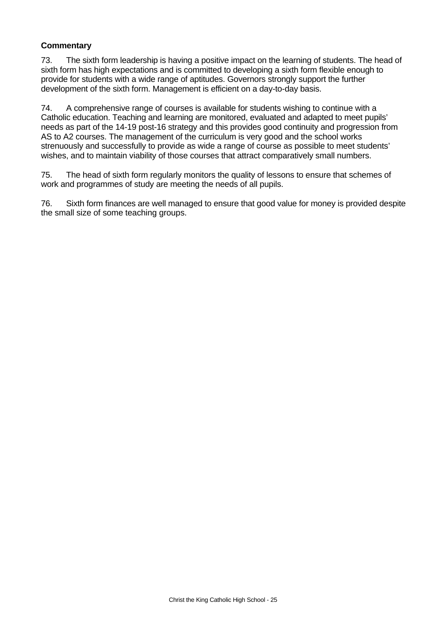# **Commentary**

73. The sixth form leadership is having a positive impact on the learning of students. The head of sixth form has high expectations and is committed to developing a sixth form flexible enough to provide for students with a wide range of aptitudes. Governors strongly support the further development of the sixth form. Management is efficient on a day-to-day basis.

74. A comprehensive range of courses is available for students wishing to continue with a Catholic education. Teaching and learning are monitored, evaluated and adapted to meet pupils' needs as part of the 14-19 post-16 strategy and this provides good continuity and progression from AS to A2 courses. The management of the curriculum is very good and the school works strenuously and successfully to provide as wide a range of course as possible to meet students' wishes, and to maintain viability of those courses that attract comparatively small numbers.

75. The head of sixth form regularly monitors the quality of lessons to ensure that schemes of work and programmes of study are meeting the needs of all pupils.

76. Sixth form finances are well managed to ensure that good value for money is provided despite the small size of some teaching groups.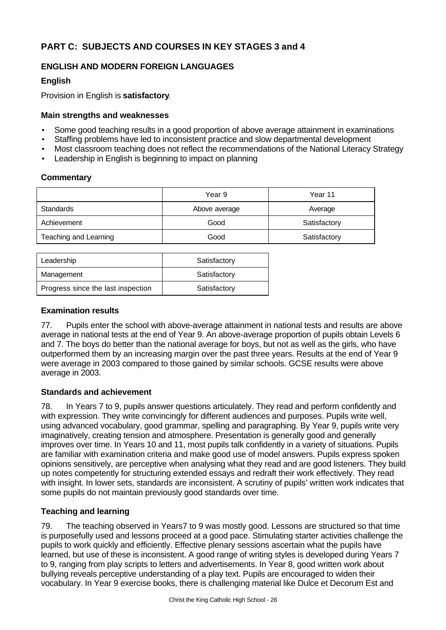# **PART C: SUBJECTS AND COURSES IN KEY STAGES 3 and 4**

# **ENGLISH AND MODERN FOREIGN LANGUAGES**

# **English**

Provision in English is **satisfactory**.

# **Main strengths and weaknesses**

- Some good teaching results in a good proportion of above average attainment in examinations
- Staffing problems have led to inconsistent practice and slow departmental development
- Most classroom teaching does not reflect the recommendations of the National Literacy Strategy
- Leadership in English is beginning to impact on planning

# **Commentary**

|                       | Year 9        | Year 11      |
|-----------------------|---------------|--------------|
| Standards             | Above average | Average      |
| Achievement           | Good          | Satisfactory |
| Teaching and Learning | Good          | Satisfactory |

| Leadership                         | Satisfactory |
|------------------------------------|--------------|
| Management                         | Satisfactory |
| Progress since the last inspection | Satisfactory |

# **Examination results**

77. Pupils enter the school with above-average attainment in national tests and results are above average in national tests at the end of Year 9. An above-average proportion of pupils obtain Levels 6 and 7. The boys do better than the national average for boys, but not as well as the girls, who have outperformed them by an increasing margin over the past three years. Results at the end of Year 9 were average in 2003 compared to those gained by similar schools. GCSE results were above average in 2003.

# **Standards and achievement**

78. In Years 7 to 9, pupils answer questions articulately. They read and perform confidently and with expression. They write convincingly for different audiences and purposes. Pupils write well, using advanced vocabulary, good grammar, spelling and paragraphing. By Year 9, pupils write very imaginatively, creating tension and atmosphere. Presentation is generally good and generally improves over time. In Years 10 and 11, most pupils talk confidently in a variety of situations. Pupils are familiar with examination criteria and make good use of model answers. Pupils express spoken opinions sensitively, are perceptive when analysing what they read and are good listeners. They build up notes competently for structuring extended essays and redraft their work effectively. They read with insight. In lower sets, standards are inconsistent. A scrutiny of pupils' written work indicates that some pupils do not maintain previously good standards over time.

# **Teaching and learning**

79. The teaching observed in Years7 to 9 was mostly good. Lessons are structured so that time is purposefully used and lessons proceed at a good pace. Stimulating starter activities challenge the pupils to work quickly and efficiently. Effective plenary sessions ascertain what the pupils have learned, but use of these is inconsistent. A good range of writing styles is developed during Years 7 to 9, ranging from play scripts to letters and advertisements. In Year 8, good written work about bullying reveals perceptive understanding of a play text. Pupils are encouraged to widen their vocabulary. In Year 9 exercise books, there is challenging material like Dulce et Decorum Est and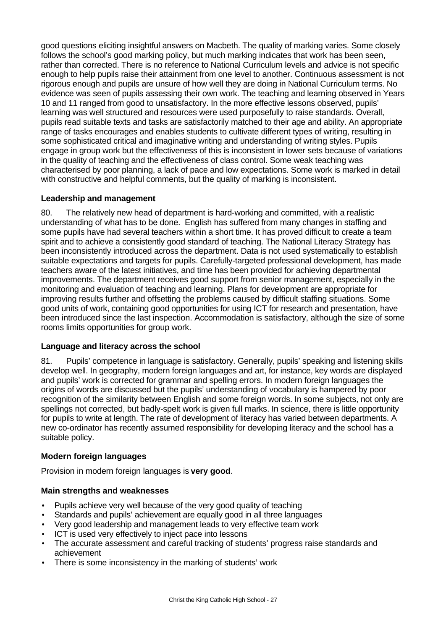good questions eliciting insightful answers on Macbeth. The quality of marking varies. Some closely follows the school's good marking policy, but much marking indicates that work has been seen, rather than corrected. There is no reference to National Curriculum levels and advice is not specific enough to help pupils raise their attainment from one level to another. Continuous assessment is not rigorous enough and pupils are unsure of how well they are doing in National Curriculum terms. No evidence was seen of pupils assessing their own work. The teaching and learning observed in Years 10 and 11 ranged from good to unsatisfactory. In the more effective lessons observed, pupils' learning was well structured and resources were used purposefully to raise standards. Overall, pupils read suitable texts and tasks are satisfactorily matched to their age and ability. An appropriate range of tasks encourages and enables students to cultivate different types of writing, resulting in some sophisticated critical and imaginative writing and understanding of writing styles. Pupils engage in group work but the effectiveness of this is inconsistent in lower sets because of variations in the quality of teaching and the effectiveness of class control. Some weak teaching was characterised by poor planning, a lack of pace and low expectations. Some work is marked in detail with constructive and helpful comments, but the quality of marking is inconsistent.

# **Leadership and management**

80. The relatively new head of department is hard-working and committed, with a realistic understanding of what has to be done. English has suffered from many changes in staffing and some pupils have had several teachers within a short time. It has proved difficult to create a team spirit and to achieve a consistently good standard of teaching. The National Literacy Strategy has been inconsistently introduced across the department. Data is not used systematically to establish suitable expectations and targets for pupils. Carefully-targeted professional development, has made teachers aware of the latest initiatives, and time has been provided for achieving departmental improvements. The department receives good support from senior management, especially in the monitoring and evaluation of teaching and learning. Plans for development are appropriate for improving results further and offsetting the problems caused by difficult staffing situations. Some good units of work, containing good opportunities for using ICT for research and presentation, have been introduced since the last inspection. Accommodation is satisfactory, although the size of some rooms limits opportunities for group work.

# **Language and literacy across the school**

81. Pupils' competence in language is satisfactory. Generally, pupils' speaking and listening skills develop well. In geography, modern foreign languages and art, for instance, key words are displayed and pupils' work is corrected for grammar and spelling errors. In modern foreign languages the origins of words are discussed but the pupils' understanding of vocabulary is hampered by poor recognition of the similarity between English and some foreign words. In some subjects, not only are spellings not corrected, but badly-spelt work is given full marks. In science, there is little opportunity for pupils to write at length. The rate of development of literacy has varied between departments. A new co-ordinator has recently assumed responsibility for developing literacy and the school has a suitable policy.

# **Modern foreign languages**

Provision in modern foreign languages is **very good**.

# **Main strengths and weaknesses**

- Pupils achieve very well because of the very good quality of teaching
- Standards and pupils' achievement are equally good in all three languages
- Very good leadership and management leads to very effective team work
- ICT is used very effectively to inject pace into lessons
- The accurate assessment and careful tracking of students' progress raise standards and achievement
- There is some inconsistency in the marking of students' work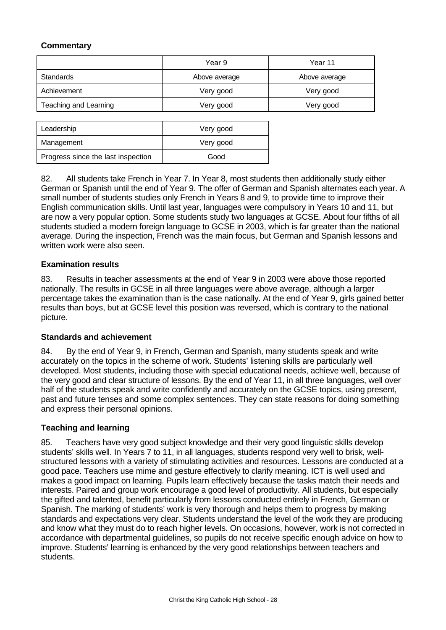# **Commentary**

|                       | Year 9        | Year 11       |
|-----------------------|---------------|---------------|
| <b>Standards</b>      | Above average | Above average |
| Achievement           | Very good     | Very good     |
| Teaching and Learning | Very good     | Very good     |
|                       |               |               |

| Leadership                         | Very good |
|------------------------------------|-----------|
| Management                         | Very good |
| Progress since the last inspection | Good      |

82. All students take French in Year 7. In Year 8, most students then additionally study either German or Spanish until the end of Year 9. The offer of German and Spanish alternates each year. A small number of students studies only French in Years 8 and 9, to provide time to improve their English communication skills. Until last year, languages were compulsory in Years 10 and 11, but are now a very popular option. Some students study two languages at GCSE. About four fifths of all students studied a modern foreign language to GCSE in 2003, which is far greater than the national average. During the inspection, French was the main focus, but German and Spanish lessons and written work were also seen.

# **Examination results**

83. Results in teacher assessments at the end of Year 9 in 2003 were above those reported nationally. The results in GCSE in all three languages were above average, although a larger percentage takes the examination than is the case nationally. At the end of Year 9, girls gained better results than boys, but at GCSE level this position was reversed, which is contrary to the national picture.

# **Standards and achievement**

84. By the end of Year 9, in French, German and Spanish, many students speak and write accurately on the topics in the scheme of work. Students' listening skills are particularly well developed. Most students, including those with special educational needs, achieve well, because of the very good and clear structure of lessons. By the end of Year 11, in all three languages, well over half of the students speak and write confidently and accurately on the GCSE topics, using present, past and future tenses and some complex sentences. They can state reasons for doing something and express their personal opinions.

# **Teaching and learning**

85. Teachers have very good subject knowledge and their very good linguistic skills develop students' skills well. In Years 7 to 11, in all languages, students respond very well to brisk, wellstructured lessons with a variety of stimulating activities and resources. Lessons are conducted at a good pace. Teachers use mime and gesture effectively to clarify meaning. ICT is well used and makes a good impact on learning. Pupils learn effectively because the tasks match their needs and interests. Paired and group work encourage a good level of productivity. All students, but especially the gifted and talented, benefit particularly from lessons conducted entirely in French, German or Spanish. The marking of students' work is very thorough and helps them to progress by making standards and expectations very clear. Students understand the level of the work they are producing and know what they must do to reach higher levels. On occasions, however, work is not corrected in accordance with departmental guidelines, so pupils do not receive specific enough advice on how to improve. Students' learning is enhanced by the very good relationships between teachers and students.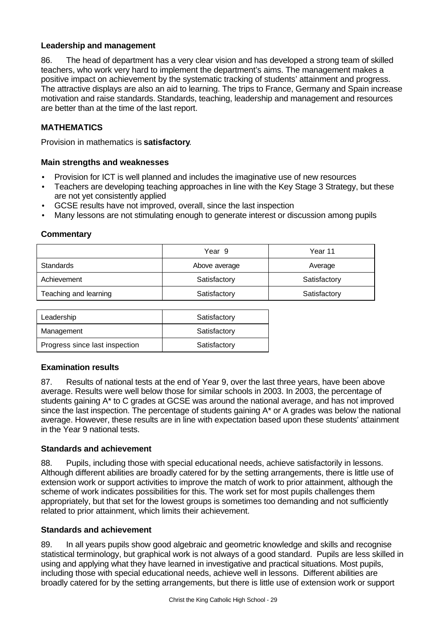# **Leadership and management**

86. The head of department has a very clear vision and has developed a strong team of skilled teachers, who work very hard to implement the department's aims. The management makes a positive impact on achievement by the systematic tracking of students' attainment and progress. The attractive displays are also an aid to learning. The trips to France, Germany and Spain increase motivation and raise standards. Standards, teaching, leadership and management and resources are better than at the time of the last report.

# **MATHEMATICS**

Provision in mathematics is **satisfactory**.

# **Main strengths and weaknesses**

- Provision for ICT is well planned and includes the imaginative use of new resources
- Teachers are developing teaching approaches in line with the Key Stage 3 Strategy, but these are not yet consistently applied
- GCSE results have not improved, overall, since the last inspection
- Many lessons are not stimulating enough to generate interest or discussion among pupils

# **Commentary**

|                       | Year 9        | Year 11      |
|-----------------------|---------------|--------------|
| Standards             | Above average | Average      |
| Achievement           | Satisfactory  | Satisfactory |
| Teaching and learning | Satisfactory  | Satisfactory |

| Leadership                     | Satisfactory |
|--------------------------------|--------------|
| Management                     | Satisfactory |
| Progress since last inspection | Satisfactory |

# **Examination results**

87. Results of national tests at the end of Year 9, over the last three years, have been above average. Results were well below those for similar schools in 2003. In 2003, the percentage of students gaining A\* to C grades at GCSE was around the national average, and has not improved since the last inspection. The percentage of students gaining A\* or A grades was below the national average. However, these results are in line with expectation based upon these students' attainment in the Year 9 national tests.

# **Standards and achievement**

88. Pupils, including those with special educational needs, achieve satisfactorily in lessons. Although different abilities are broadly catered for by the setting arrangements, there is little use of extension work or support activities to improve the match of work to prior attainment, although the scheme of work indicates possibilities for this. The work set for most pupils challenges them appropriately, but that set for the lowest groups is sometimes too demanding and not sufficiently related to prior attainment, which limits their achievement.

# **Standards and achievement**

89. In all years pupils show good algebraic and geometric knowledge and skills and recognise statistical terminology, but graphical work is not always of a good standard. Pupils are less skilled in using and applying what they have learned in investigative and practical situations. Most pupils, including those with special educational needs, achieve well in lessons. Different abilities are broadly catered for by the setting arrangements, but there is little use of extension work or support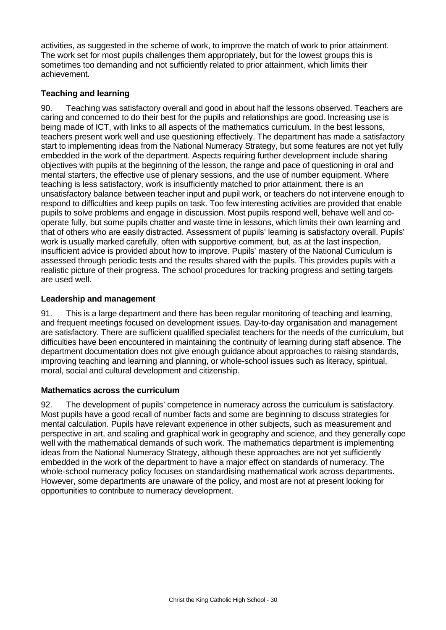activities, as suggested in the scheme of work, to improve the match of work to prior attainment. The work set for most pupils challenges them appropriately, but for the lowest groups this is sometimes too demanding and not sufficiently related to prior attainment, which limits their achievement.

# **Teaching and learning**

90. Teaching was satisfactory overall and good in about half the lessons observed. Teachers are caring and concerned to do their best for the pupils and relationships are good. Increasing use is being made of ICT, with links to all aspects of the mathematics curriculum. In the best lessons, teachers present work well and use questioning effectively. The department has made a satisfactory start to implementing ideas from the National Numeracy Strategy, but some features are not yet fully embedded in the work of the department. Aspects requiring further development include sharing objectives with pupils at the beginning of the lesson, the range and pace of questioning in oral and mental starters, the effective use of plenary sessions, and the use of number equipment. Where teaching is less satisfactory, work is insufficiently matched to prior attainment, there is an unsatisfactory balance between teacher input and pupil work, or teachers do not intervene enough to respond to difficulties and keep pupils on task. Too few interesting activities are provided that enable pupils to solve problems and engage in discussion. Most pupils respond well, behave well and cooperate fully, but some pupils chatter and waste time in lessons, which limits their own learning and that of others who are easily distracted. Assessment of pupils' learning is satisfactory overall. Pupils' work is usually marked carefully, often with supportive comment, but, as at the last inspection, insufficient advice is provided about how to improve. Pupils' mastery of the National Curriculum is assessed through periodic tests and the results shared with the pupils. This provides pupils with a realistic picture of their progress. The school procedures for tracking progress and setting targets are used well.

# **Leadership and management**

91. This is a large department and there has been regular monitoring of teaching and learning, and frequent meetings focused on development issues. Day-to-day organisation and management are satisfactory. There are sufficient qualified specialist teachers for the needs of the curriculum, but difficulties have been encountered in maintaining the continuity of learning during staff absence. The department documentation does not give enough guidance about approaches to raising standards, improving teaching and learning and planning, or whole-school issues such as literacy, spiritual, moral, social and cultural development and citizenship.

# **Mathematics across the curriculum**

92. The development of pupils' competence in numeracy across the curriculum is satisfactory. Most pupils have a good recall of number facts and some are beginning to discuss strategies for mental calculation. Pupils have relevant experience in other subjects, such as measurement and perspective in art, and scaling and graphical work in geography and science, and they generally cope well with the mathematical demands of such work. The mathematics department is implementing ideas from the National Numeracy Strategy, although these approaches are not yet sufficiently embedded in the work of the department to have a major effect on standards of numeracy. The whole-school numeracy policy focuses on standardising mathematical work across departments. However, some departments are unaware of the policy, and most are not at present looking for opportunities to contribute to numeracy development.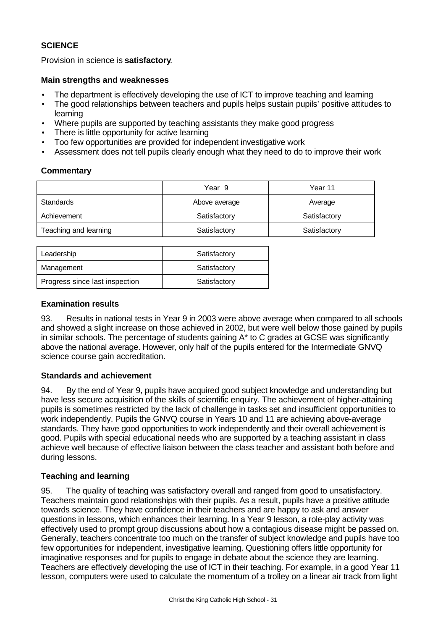# **SCIENCE**

Provision in science is **satisfactory**.

### **Main strengths and weaknesses**

- The department is effectively developing the use of ICT to improve teaching and learning
- The good relationships between teachers and pupils helps sustain pupils' positive attitudes to learning
- Where pupils are supported by teaching assistants they make good progress
- There is little opportunity for active learning
- Too few opportunities are provided for independent investigative work
- Assessment does not tell pupils clearly enough what they need to do to improve their work

#### **Commentary**

|                       | Year 9        | Year 11      |
|-----------------------|---------------|--------------|
| <b>Standards</b>      | Above average | Average      |
| Achievement           | Satisfactory  | Satisfactory |
| Teaching and learning | Satisfactory  | Satisfactory |

| Leadership                     | Satisfactory |
|--------------------------------|--------------|
| Management                     | Satisfactory |
| Progress since last inspection | Satisfactory |
|                                |              |

# **Examination results**

93. Results in national tests in Year 9 in 2003 were above average when compared to all schools and showed a slight increase on those achieved in 2002, but were well below those gained by pupils in similar schools. The percentage of students gaining A\* to C grades at GCSE was significantly above the national average. However, only half of the pupils entered for the Intermediate GNVQ science course gain accreditation.

# **Standards and achievement**

94. By the end of Year 9, pupils have acquired good subject knowledge and understanding but have less secure acquisition of the skills of scientific enquiry. The achievement of higher-attaining pupils is sometimes restricted by the lack of challenge in tasks set and insufficient opportunities to work independently. Pupils the GNVQ course in Years 10 and 11 are achieving above-average standards. They have good opportunities to work independently and their overall achievement is good. Pupils with special educational needs who are supported by a teaching assistant in class achieve well because of effective liaison between the class teacher and assistant both before and during lessons.

# **Teaching and learning**

95. The quality of teaching was satisfactory overall and ranged from good to unsatisfactory. Teachers maintain good relationships with their pupils. As a result, pupils have a positive attitude towards science. They have confidence in their teachers and are happy to ask and answer questions in lessons, which enhances their learning. In a Year 9 lesson, a role-play activity was effectively used to prompt group discussions about how a contagious disease might be passed on. Generally, teachers concentrate too much on the transfer of subject knowledge and pupils have too few opportunities for independent, investigative learning. Questioning offers little opportunity for imaginative responses and for pupils to engage in debate about the science they are learning. Teachers are effectively developing the use of ICT in their teaching. For example, in a good Year 11 lesson, computers were used to calculate the momentum of a trolley on a linear air track from light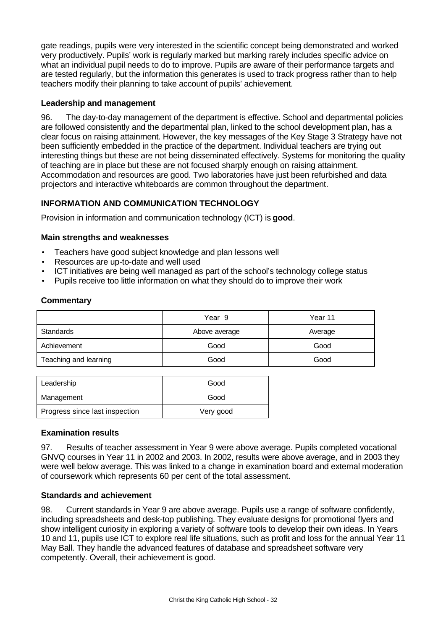gate readings, pupils were very interested in the scientific concept being demonstrated and worked very productively. Pupils' work is regularly marked but marking rarely includes specific advice on what an individual pupil needs to do to improve. Pupils are aware of their performance targets and are tested regularly, but the information this generates is used to track progress rather than to help teachers modify their planning to take account of pupils' achievement.

# **Leadership and management**

96. The day-to-day management of the department is effective. School and departmental policies are followed consistently and the departmental plan, linked to the school development plan, has a clear focus on raising attainment. However, the key messages of the Key Stage 3 Strategy have not been sufficiently embedded in the practice of the department. Individual teachers are trying out interesting things but these are not being disseminated effectively. Systems for monitoring the quality of teaching are in place but these are not focused sharply enough on raising attainment. Accommodation and resources are good. Two laboratories have just been refurbished and data projectors and interactive whiteboards are common throughout the department.

# **INFORMATION AND COMMUNICATION TECHNOLOGY**

Provision in information and communication technology (ICT) is **good**.

# **Main strengths and weaknesses**

- Teachers have good subject knowledge and plan lessons well
- Resources are up-to-date and well used
- ICT initiatives are being well managed as part of the school's technology college status
- Pupils receive too little information on what they should do to improve their work

# **Commentary**

|                       | Year 9        | Year 11 |
|-----------------------|---------------|---------|
| Standards             | Above average | Average |
| Achievement           | Good          | Good    |
| Teaching and learning | Good          | Good    |

| Leadership                     | Good      |
|--------------------------------|-----------|
| Management                     | Good      |
| Progress since last inspection | Very good |

# **Examination results**

97. Results of teacher assessment in Year 9 were above average. Pupils completed vocational GNVQ courses in Year 11 in 2002 and 2003. In 2002, results were above average, and in 2003 they were well below average. This was linked to a change in examination board and external moderation of coursework which represents 60 per cent of the total assessment.

# **Standards and achievement**

98. Current standards in Year 9 are above average. Pupils use a range of software confidently, including spreadsheets and desk-top publishing. They evaluate designs for promotional flyers and show intelligent curiosity in exploring a variety of software tools to develop their own ideas. In Years 10 and 11, pupils use ICT to explore real life situations, such as profit and loss for the annual Year 11 May Ball. They handle the advanced features of database and spreadsheet software very competently. Overall, their achievement is good.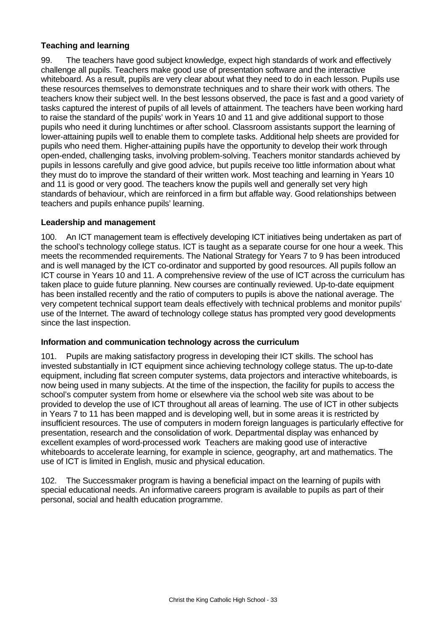# **Teaching and learning**

99. The teachers have good subject knowledge, expect high standards of work and effectively challenge all pupils. Teachers make good use of presentation software and the interactive whiteboard. As a result, pupils are very clear about what they need to do in each lesson. Pupils use these resources themselves to demonstrate techniques and to share their work with others. The teachers know their subject well. In the best lessons observed, the pace is fast and a good variety of tasks captured the interest of pupils of all levels of attainment. The teachers have been working hard to raise the standard of the pupils' work in Years 10 and 11 and give additional support to those pupils who need it during lunchtimes or after school. Classroom assistants support the learning of lower-attaining pupils well to enable them to complete tasks. Additional help sheets are provided for pupils who need them. Higher-attaining pupils have the opportunity to develop their work through open-ended, challenging tasks, involving problem-solving. Teachers monitor standards achieved by pupils in lessons carefully and give good advice, but pupils receive too little information about what they must do to improve the standard of their written work. Most teaching and learning in Years 10 and 11 is good or very good. The teachers know the pupils well and generally set very high standards of behaviour, which are reinforced in a firm but affable way. Good relationships between teachers and pupils enhance pupils' learning.

# **Leadership and management**

100. An ICT management team is effectively developing ICT initiatives being undertaken as part of the school's technology college status. ICT is taught as a separate course for one hour a week. This meets the recommended requirements. The National Strategy for Years 7 to 9 has been introduced and is well managed by the ICT co-ordinator and supported by good resources. All pupils follow an ICT course in Years 10 and 11. A comprehensive review of the use of ICT across the curriculum has taken place to guide future planning. New courses are continually reviewed. Up-to-date equipment has been installed recently and the ratio of computers to pupils is above the national average. The very competent technical support team deals effectively with technical problems and monitor pupils' use of the Internet. The award of technology college status has prompted very good developments since the last inspection.

# **Information and communication technology across the curriculum**

101. Pupils are making satisfactory progress in developing their ICT skills. The school has invested substantially in ICT equipment since achieving technology college status. The up-to-date equipment, including flat screen computer systems, data projectors and interactive whiteboards, is now being used in many subjects. At the time of the inspection, the facility for pupils to access the school's computer system from home or elsewhere via the school web site was about to be provided to develop the use of ICT throughout all areas of learning. The use of ICT in other subjects in Years 7 to 11 has been mapped and is developing well, but in some areas it is restricted by insufficient resources. The use of computers in modern foreign languages is particularly effective for presentation, research and the consolidation of work. Departmental display was enhanced by excellent examples of word-processed work Teachers are making good use of interactive whiteboards to accelerate learning, for example in science, geography, art and mathematics. The use of ICT is limited in English, music and physical education.

The Successmaker program is having a beneficial impact on the learning of pupils with special educational needs. An informative careers program is available to pupils as part of their personal, social and health education programme.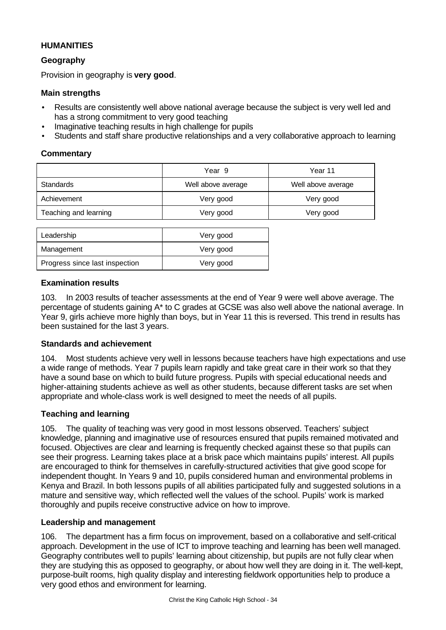# **HUMANITIES**

# **Geography**

Provision in geography is **very good**.

# **Main strengths**

- Results are consistently well above national average because the subject is very well led and has a strong commitment to very good teaching
- Imaginative teaching results in high challenge for pupils
- Students and staff share productive relationships and a very collaborative approach to learning

# **Commentary**

|                       | Year 9             | Year 11            |
|-----------------------|--------------------|--------------------|
| Standards             | Well above average | Well above average |
| Achievement           | Very good          | Very good          |
| Teaching and learning | Very good          | Very good          |
|                       |                    |                    |

| Leadership                     | Very good |
|--------------------------------|-----------|
| Management                     | Very good |
| Progress since last inspection | Very good |

# **Examination results**

103. In 2003 results of teacher assessments at the end of Year 9 were well above average. The percentage of students gaining A\* to C grades at GCSE was also well above the national average. In Year 9, girls achieve more highly than boys, but in Year 11 this is reversed. This trend in results has been sustained for the last 3 years.

# **Standards and achievement**

104. Most students achieve very well in lessons because teachers have high expectations and use a wide range of methods. Year 7 pupils learn rapidly and take great care in their work so that they have a sound base on which to build future progress. Pupils with special educational needs and higher-attaining students achieve as well as other students, because different tasks are set when appropriate and whole-class work is well designed to meet the needs of all pupils.

# **Teaching and learning**

105. The quality of teaching was very good in most lessons observed. Teachers' subject knowledge, planning and imaginative use of resources ensured that pupils remained motivated and focused. Objectives are clear and learning is frequently checked against these so that pupils can see their progress. Learning takes place at a brisk pace which maintains pupils' interest. All pupils are encouraged to think for themselves in carefully-structured activities that give good scope for independent thought. In Years 9 and 10, pupils considered human and environmental problems in Kenya and Brazil. In both lessons pupils of all abilities participated fully and suggested solutions in a mature and sensitive way, which reflected well the values of the school. Pupils' work is marked thoroughly and pupils receive constructive advice on how to improve.

# **Leadership and management**

106. The department has a firm focus on improvement, based on a collaborative and self-critical approach. Development in the use of ICT to improve teaching and learning has been well managed. Geography contributes well to pupils' learning about citizenship, but pupils are not fully clear when they are studying this as opposed to geography, or about how well they are doing in it. The well-kept, purpose-built rooms, high quality display and interesting fieldwork opportunities help to produce a very good ethos and environment for learning.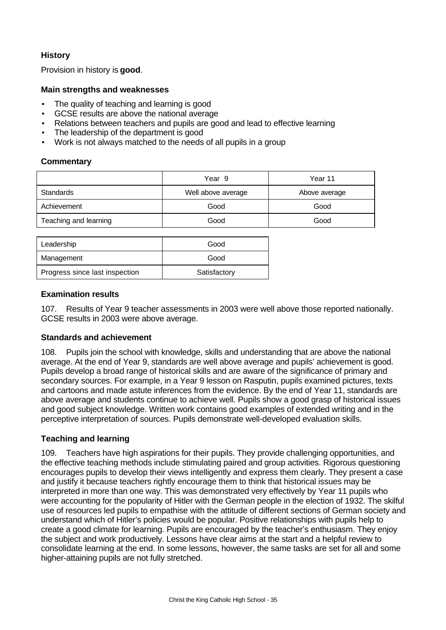# **History**

Provision in history is **good**.

# **Main strengths and weaknesses**

- The quality of teaching and learning is good
- GCSE results are above the national average
- Relations between teachers and pupils are good and lead to effective learning
- The leadership of the department is good
- Work is not always matched to the needs of all pupils in a group

# **Commentary**

|                       | Year 9             | Year 11       |
|-----------------------|--------------------|---------------|
| Standards             | Well above average | Above average |
| Achievement           | Good               | Good          |
| Teaching and learning | Good               | Good          |

| Leadership                     | Good         |
|--------------------------------|--------------|
| Management                     | Good         |
| Progress since last inspection | Satisfactory |

# **Examination results**

107. Results of Year 9 teacher assessments in 2003 were well above those reported nationally. GCSE results in 2003 were above average.

# **Standards and achievement**

108. Pupils join the school with knowledge, skills and understanding that are above the national average. At the end of Year 9, standards are well above average and pupils' achievement is good. Pupils develop a broad range of historical skills and are aware of the significance of primary and secondary sources. For example, in a Year 9 lesson on Rasputin, pupils examined pictures, texts and cartoons and made astute inferences from the evidence. By the end of Year 11, standards are above average and students continue to achieve well. Pupils show a good grasp of historical issues and good subject knowledge. Written work contains good examples of extended writing and in the perceptive interpretation of sources. Pupils demonstrate well-developed evaluation skills.

# **Teaching and learning**

109. Teachers have high aspirations for their pupils. They provide challenging opportunities, and the effective teaching methods include stimulating paired and group activities. Rigorous questioning encourages pupils to develop their views intelligently and express them clearly. They present a case and justify it because teachers rightly encourage them to think that historical issues may be interpreted in more than one way. This was demonstrated very effectively by Year 11 pupils who were accounting for the popularity of Hitler with the German people in the election of 1932. The skilful use of resources led pupils to empathise with the attitude of different sections of German society and understand which of Hitler's policies would be popular. Positive relationships with pupils help to create a good climate for learning. Pupils are encouraged by the teacher's enthusiasm. They enjoy the subject and work productively. Lessons have clear aims at the start and a helpful review to consolidate learning at the end. In some lessons, however, the same tasks are set for all and some higher-attaining pupils are not fully stretched.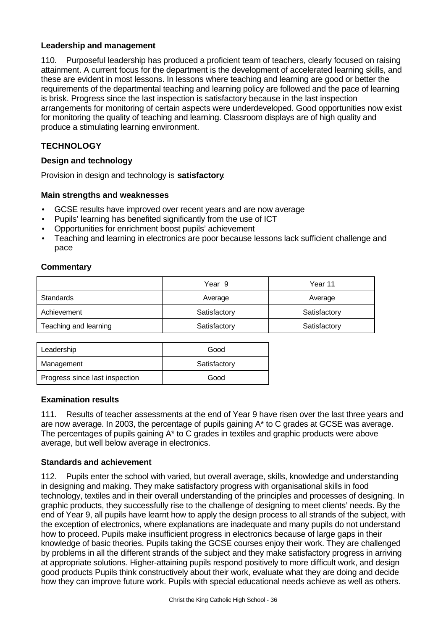# **Leadership and management**

110. Purposeful leadership has produced a proficient team of teachers, clearly focused on raising attainment. A current focus for the department is the development of accelerated learning skills, and these are evident in most lessons. In lessons where teaching and learning are good or better the requirements of the departmental teaching and learning policy are followed and the pace of learning is brisk. Progress since the last inspection is satisfactory because in the last inspection arrangements for monitoring of certain aspects were underdeveloped. Good opportunities now exist for monitoring the quality of teaching and learning. Classroom displays are of high quality and produce a stimulating learning environment.

# **TECHNOLOGY**

# **Design and technology**

Provision in design and technology is **satisfactory**.

# **Main strengths and weaknesses**

- GCSE results have improved over recent years and are now average
- Pupils' learning has benefited significantly from the use of ICT
- Opportunities for enrichment boost pupils' achievement
- Teaching and learning in electronics are poor because lessons lack sufficient challenge and pace

# **Commentary**

|                       | Year 9       | Year 11      |
|-----------------------|--------------|--------------|
| <b>Standards</b>      | Average      | Average      |
| Achievement           | Satisfactory | Satisfactory |
| Teaching and learning | Satisfactory | Satisfactory |

| Leadership                     | Good         |
|--------------------------------|--------------|
| Management                     | Satisfactory |
| Progress since last inspection | Good         |

# **Examination results**

111. Results of teacher assessments at the end of Year 9 have risen over the last three years and are now average. In 2003, the percentage of pupils gaining A\* to C grades at GCSE was average. The percentages of pupils gaining A\* to C grades in textiles and graphic products were above average, but well below average in electronics.

# **Standards and achievement**

112. Pupils enter the school with varied, but overall average, skills, knowledge and understanding in designing and making. They make satisfactory progress with organisational skills in food technology, textiles and in their overall understanding of the principles and processes of designing. In graphic products, they successfully rise to the challenge of designing to meet clients' needs. By the end of Year 9, all pupils have learnt how to apply the design process to all strands of the subject, with the exception of electronics, where explanations are inadequate and many pupils do not understand how to proceed. Pupils make insufficient progress in electronics because of large gaps in their knowledge of basic theories. Pupils taking the GCSE courses enjoy their work. They are challenged by problems in all the different strands of the subject and they make satisfactory progress in arriving at appropriate solutions. Higher-attaining pupils respond positively to more difficult work, and design good products Pupils think constructively about their work, evaluate what they are doing and decide how they can improve future work. Pupils with special educational needs achieve as well as others.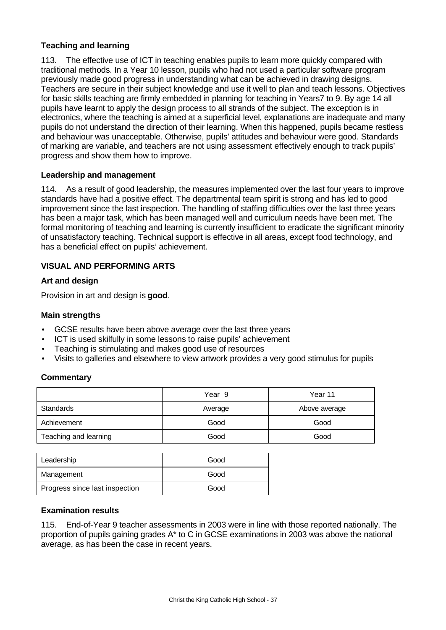# **Teaching and learning**

113. The effective use of ICT in teaching enables pupils to learn more quickly compared with traditional methods. In a Year 10 lesson, pupils who had not used a particular software program previously made good progress in understanding what can be achieved in drawing designs. Teachers are secure in their subject knowledge and use it well to plan and teach lessons. Objectives for basic skills teaching are firmly embedded in planning for teaching in Years7 to 9. By age 14 all pupils have learnt to apply the design process to all strands of the subject. The exception is in electronics, where the teaching is aimed at a superficial level, explanations are inadequate and many pupils do not understand the direction of their learning. When this happened, pupils became restless and behaviour was unacceptable. Otherwise, pupils' attitudes and behaviour were good. Standards of marking are variable, and teachers are not using assessment effectively enough to track pupils' progress and show them how to improve.

#### **Leadership and management**

114. As a result of good leadership, the measures implemented over the last four years to improve standards have had a positive effect. The departmental team spirit is strong and has led to good improvement since the last inspection. The handling of staffing difficulties over the last three years has been a major task, which has been managed well and curriculum needs have been met. The formal monitoring of teaching and learning is currently insufficient to eradicate the significant minority of unsatisfactory teaching. Technical support is effective in all areas, except food technology, and has a beneficial effect on pupils' achievement.

#### **VISUAL AND PERFORMING ARTS**

#### **Art and design**

Provision in art and design is **good**.

#### **Main strengths**

- GCSE results have been above average over the last three years
- ICT is used skilfully in some lessons to raise pupils' achievement
- Teaching is stimulating and makes good use of resources
- Visits to galleries and elsewhere to view artwork provides a very good stimulus for pupils

#### **Commentary**

|                       | Year 9  | Year 11       |
|-----------------------|---------|---------------|
| Standards             | Average | Above average |
| Achievement           | Good    | Good          |
| Teaching and learning | Good    | Good          |

| Leadership                     | Good |
|--------------------------------|------|
| Management                     | Good |
| Progress since last inspection | Good |

#### **Examination results**

115. End-of-Year 9 teacher assessments in 2003 were in line with those reported nationally. The proportion of pupils gaining grades A\* to C in GCSE examinations in 2003 was above the national average, as has been the case in recent years.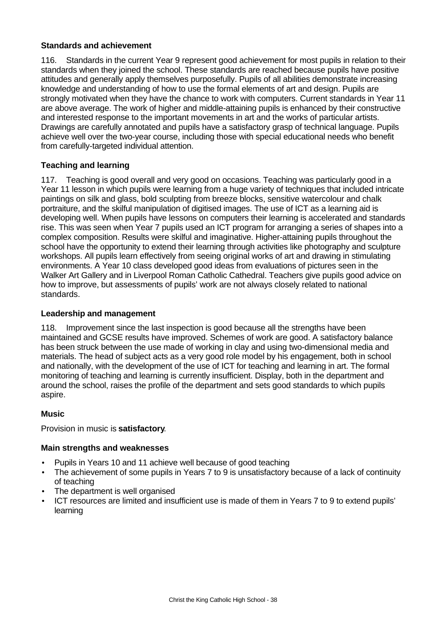# **Standards and achievement**

116. Standards in the current Year 9 represent good achievement for most pupils in relation to their standards when they joined the school. These standards are reached because pupils have positive attitudes and generally apply themselves purposefully. Pupils of all abilities demonstrate increasing knowledge and understanding of how to use the formal elements of art and design. Pupils are strongly motivated when they have the chance to work with computers. Current standards in Year 11 are above average. The work of higher and middle-attaining pupils is enhanced by their constructive and interested response to the important movements in art and the works of particular artists. Drawings are carefully annotated and pupils have a satisfactory grasp of technical language. Pupils achieve well over the two-year course, including those with special educational needs who benefit from carefully-targeted individual attention.

# **Teaching and learning**

117. Teaching is good overall and very good on occasions. Teaching was particularly good in a Year 11 lesson in which pupils were learning from a huge variety of techniques that included intricate paintings on silk and glass, bold sculpting from breeze blocks, sensitive watercolour and chalk portraiture, and the skilful manipulation of digitised images. The use of ICT as a learning aid is developing well. When pupils have lessons on computers their learning is accelerated and standards rise. This was seen when Year 7 pupils used an ICT program for arranging a series of shapes into a complex composition. Results were skilful and imaginative. Higher-attaining pupils throughout the school have the opportunity to extend their learning through activities like photography and sculpture workshops. All pupils learn effectively from seeing original works of art and drawing in stimulating environments. A Year 10 class developed good ideas from evaluations of pictures seen in the Walker Art Gallery and in Liverpool Roman Catholic Cathedral. Teachers give pupils good advice on how to improve, but assessments of pupils' work are not always closely related to national standards.

# **Leadership and management**

118. Improvement since the last inspection is good because all the strengths have been maintained and GCSE results have improved. Schemes of work are good. A satisfactory balance has been struck between the use made of working in clay and using two-dimensional media and materials. The head of subject acts as a very good role model by his engagement, both in school and nationally, with the development of the use of ICT for teaching and learning in art. The formal monitoring of teaching and learning is currently insufficient. Display, both in the department and around the school, raises the profile of the department and sets good standards to which pupils aspire.

# **Music**

Provision in music is **satisfactory**.

# **Main strengths and weaknesses**

- Pupils in Years 10 and 11 achieve well because of good teaching
- The achievement of some pupils in Years 7 to 9 is unsatisfactory because of a lack of continuity of teaching
- The department is well organised
- ICT resources are limited and insufficient use is made of them in Years 7 to 9 to extend pupils' learning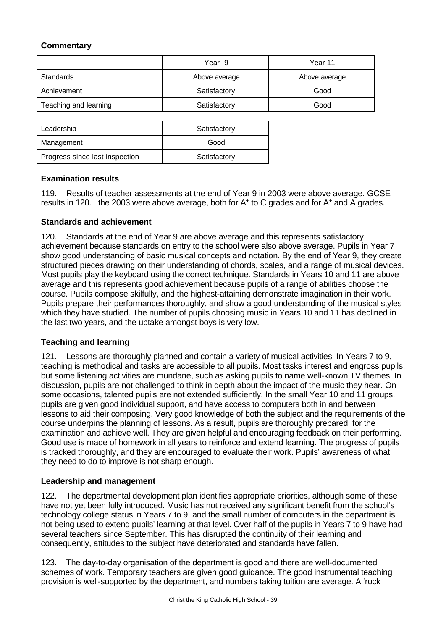# **Commentary**

|                       | Year 9        | Year 11       |
|-----------------------|---------------|---------------|
| <b>Standards</b>      | Above average | Above average |
| Achievement           | Satisfactory  | Good          |
| Teaching and learning | Satisfactory  | Good          |

| Leadership                     | Satisfactory |
|--------------------------------|--------------|
| Management                     | Good         |
| Progress since last inspection | Satisfactory |

# **Examination results**

119. Results of teacher assessments at the end of Year 9 in 2003 were above average. GCSE results in 120. the 2003 were above average, both for  $A^*$  to C grades and for  $A^*$  and A grades.

# **Standards and achievement**

120. Standards at the end of Year 9 are above average and this represents satisfactory achievement because standards on entry to the school were also above average. Pupils in Year 7 show good understanding of basic musical concepts and notation. By the end of Year 9, they create structured pieces drawing on their understanding of chords, scales, and a range of musical devices. Most pupils play the keyboard using the correct technique. Standards in Years 10 and 11 are above average and this represents good achievement because pupils of a range of abilities choose the course. Pupils compose skilfully, and the highest-attaining demonstrate imagination in their work. Pupils prepare their performances thoroughly, and show a good understanding of the musical styles which they have studied. The number of pupils choosing music in Years 10 and 11 has declined in the last two years, and the uptake amongst boys is very low.

# **Teaching and learning**

121. Lessons are thoroughly planned and contain a variety of musical activities. In Years 7 to 9, teaching is methodical and tasks are accessible to all pupils. Most tasks interest and engross pupils, but some listening activities are mundane, such as asking pupils to name well-known TV themes. In discussion, pupils are not challenged to think in depth about the impact of the music they hear. On some occasions, talented pupils are not extended sufficiently. In the small Year 10 and 11 groups, pupils are given good individual support, and have access to computers both in and between lessons to aid their composing. Very good knowledge of both the subject and the requirements of the course underpins the planning of lessons. As a result, pupils are thoroughly prepared for the examination and achieve well. They are given helpful and encouraging feedback on their performing. Good use is made of homework in all years to reinforce and extend learning. The progress of pupils is tracked thoroughly, and they are encouraged to evaluate their work. Pupils' awareness of what they need to do to improve is not sharp enough.

# **Leadership and management**

122. The departmental development plan identifies appropriate priorities, although some of these have not yet been fully introduced. Music has not received any significant benefit from the school's technology college status in Years 7 to 9, and the small number of computers in the department is not being used to extend pupils' learning at that level. Over half of the pupils in Years 7 to 9 have had several teachers since September. This has disrupted the continuity of their learning and consequently, attitudes to the subject have deteriorated and standards have fallen.

123. The day-to-day organisation of the department is good and there are well-documented schemes of work. Temporary teachers are given good guidance. The good instrumental teaching provision is well-supported by the department, and numbers taking tuition are average. A 'rock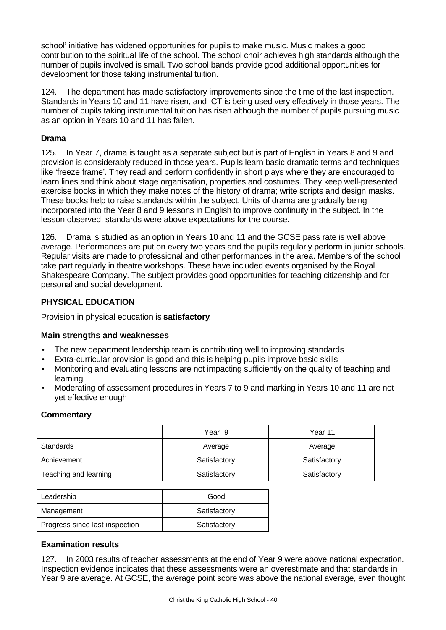school' initiative has widened opportunities for pupils to make music. Music makes a good contribution to the spiritual life of the school. The school choir achieves high standards although the number of pupils involved is small. Two school bands provide good additional opportunities for development for those taking instrumental tuition.

124. The department has made satisfactory improvements since the time of the last inspection. Standards in Years 10 and 11 have risen, and ICT is being used very effectively in those years. The number of pupils taking instrumental tuition has risen although the number of pupils pursuing music as an option in Years 10 and 11 has fallen.

# **Drama**

125. In Year 7, drama is taught as a separate subject but is part of English in Years 8 and 9 and provision is considerably reduced in those years. Pupils learn basic dramatic terms and techniques like 'freeze frame'. They read and perform confidently in short plays where they are encouraged to learn lines and think about stage organisation, properties and costumes. They keep well-presented exercise books in which they make notes of the history of drama; write scripts and design masks. These books help to raise standards within the subject. Units of drama are gradually being incorporated into the Year 8 and 9 lessons in English to improve continuity in the subject. In the lesson observed, standards were above expectations for the course.

126. Drama is studied as an option in Years 10 and 11 and the GCSE pass rate is well above average. Performances are put on every two years and the pupils regularly perform in junior schools. Regular visits are made to professional and other performances in the area. Members of the school take part regularly in theatre workshops. These have included events organised by the Royal Shakespeare Company. The subject provides good opportunities for teaching citizenship and for personal and social development.

# **PHYSICAL EDUCATION**

Provision in physical education is **satisfactory**.

# **Main strengths and weaknesses**

- The new department leadership team is contributing well to improving standards
- Extra-curricular provision is good and this is helping pupils improve basic skills
- Monitoring and evaluating lessons are not impacting sufficiently on the quality of teaching and learning
- Moderating of assessment procedures in Years 7 to 9 and marking in Years 10 and 11 are not yet effective enough

# **Commentary**

|                       | Year 9       | Year 11      |
|-----------------------|--------------|--------------|
| Standards             | Average      | Average      |
| Achievement           | Satisfactory | Satisfactory |
| Teaching and learning | Satisfactory | Satisfactory |

| Leadership                     | Good         |
|--------------------------------|--------------|
| Management                     | Satisfactory |
| Progress since last inspection | Satisfactory |

# **Examination results**

127. In 2003 results of teacher assessments at the end of Year 9 were above national expectation. Inspection evidence indicates that these assessments were an overestimate and that standards in Year 9 are average. At GCSE, the average point score was above the national average, even thought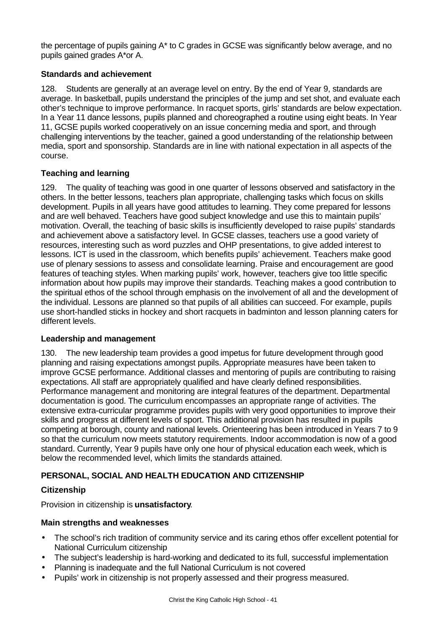the percentage of pupils gaining A\* to C grades in GCSE was significantly below average, and no pupils gained grades A\*or A.

# **Standards and achievement**

128. Students are generally at an average level on entry. By the end of Year 9, standards are average. In basketball, pupils understand the principles of the jump and set shot, and evaluate each other's technique to improve performance. In racquet sports, girls' standards are below expectation. In a Year 11 dance lessons, pupils planned and choreographed a routine using eight beats. In Year 11, GCSE pupils worked cooperatively on an issue concerning media and sport, and through challenging interventions by the teacher, gained a good understanding of the relationship between media, sport and sponsorship. Standards are in line with national expectation in all aspects of the course.

# **Teaching and learning**

129. The quality of teaching was good in one quarter of lessons observed and satisfactory in the others. In the better lessons, teachers plan appropriate, challenging tasks which focus on skills development. Pupils in all years have good attitudes to learning. They come prepared for lessons and are well behaved. Teachers have good subject knowledge and use this to maintain pupils' motivation. Overall, the teaching of basic skills is insufficiently developed to raise pupils' standards and achievement above a satisfactory level. In GCSE classes, teachers use a good variety of resources, interesting such as word puzzles and OHP presentations, to give added interest to lessons. ICT is used in the classroom, which benefits pupils' achievement. Teachers make good use of plenary sessions to assess and consolidate learning. Praise and encouragement are good features of teaching styles. When marking pupils' work, however, teachers give too little specific information about how pupils may improve their standards. Teaching makes a good contribution to the spiritual ethos of the school through emphasis on the involvement of all and the development of the individual. Lessons are planned so that pupils of all abilities can succeed. For example, pupils use short-handled sticks in hockey and short racquets in badminton and lesson planning caters for different levels.

# **Leadership and management**

130. The new leadership team provides a good impetus for future development through good planning and raising expectations amongst pupils. Appropriate measures have been taken to improve GCSE performance. Additional classes and mentoring of pupils are contributing to raising expectations. All staff are appropriately qualified and have clearly defined responsibilities. Performance management and monitoring are integral features of the department. Departmental documentation is good. The curriculum encompasses an appropriate range of activities. The extensive extra-curricular programme provides pupils with very good opportunities to improve their skills and progress at different levels of sport. This additional provision has resulted in pupils competing at borough, county and national levels. Orienteering has been introduced in Years 7 to 9 so that the curriculum now meets statutory requirements. Indoor accommodation is now of a good standard. Currently, Year 9 pupils have only one hour of physical education each week, which is below the recommended level, which limits the standards attained.

# **PERSONAL, SOCIAL AND HEALTH EDUCATION AND CITIZENSHIP**

# **Citizenship**

Provision in citizenship is **unsatisfactory**.

# **Main strengths and weaknesses**

- The school's rich tradition of community service and its caring ethos offer excellent potential for National Curriculum citizenship
- The subject's leadership is hard-working and dedicated to its full, successful implementation
- Planning is inadequate and the full National Curriculum is not covered
- Pupils' work in citizenship is not properly assessed and their progress measured.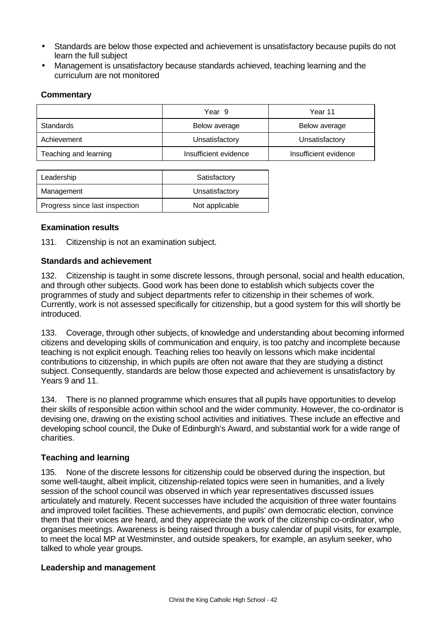- Standards are below those expected and achievement is unsatisfactory because pupils do not learn the full subject
- Management is unsatisfactory because standards achieved, teaching learning and the curriculum are not monitored

# **Commentary**

|                       | Year 9                | Year 11               |
|-----------------------|-----------------------|-----------------------|
| Standards             | Below average         | Below average         |
| Achievement           | Unsatisfactory        | Unsatisfactory        |
| Teaching and learning | Insufficient evidence | Insufficient evidence |

| Leadership                     | Satisfactory   |
|--------------------------------|----------------|
| Management                     | Unsatisfactory |
| Progress since last inspection | Not applicable |

# **Examination results**

131. Citizenship is not an examination subject.

# **Standards and achievement**

132. Citizenship is taught in some discrete lessons, through personal, social and health education, and through other subjects. Good work has been done to establish which subjects cover the programmes of study and subject departments refer to citizenship in their schemes of work. Currently, work is not assessed specifically for citizenship, but a good system for this will shortly be introduced.

133. Coverage, through other subjects, of knowledge and understanding about becoming informed citizens and developing skills of communication and enquiry, is too patchy and incomplete because teaching is not explicit enough. Teaching relies too heavily on lessons which make incidental contributions to citizenship, in which pupils are often not aware that they are studying a distinct subject. Consequently, standards are below those expected and achievement is unsatisfactory by Years 9 and 11.

134. There is no planned programme which ensures that all pupils have opportunities to develop their skills of responsible action within school and the wider community. However, the co-ordinator is devising one, drawing on the existing school activities and initiatives. These include an effective and developing school council, the Duke of Edinburgh's Award, and substantial work for a wide range of charities.

# **Teaching and learning**

135. None of the discrete lessons for citizenship could be observed during the inspection, but some well-taught, albeit implicit, citizenship-related topics were seen in humanities, and a lively session of the school council was observed in which year representatives discussed issues articulately and maturely. Recent successes have included the acquisition of three water fountains and improved toilet facilities. These achievements, and pupils' own democratic election, convince them that their voices are heard, and they appreciate the work of the citizenship co-ordinator, who organises meetings. Awareness is being raised through a busy calendar of pupil visits, for example, to meet the local MP at Westminster, and outside speakers, for example, an asylum seeker, who talked to whole year groups.

# **Leadership and management**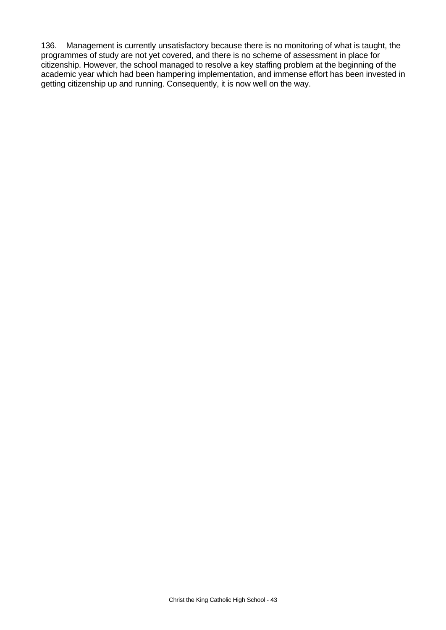136. Management is currently unsatisfactory because there is no monitoring of what is taught, the programmes of study are not yet covered, and there is no scheme of assessment in place for citizenship. However, the school managed to resolve a key staffing problem at the beginning of the academic year which had been hampering implementation, and immense effort has been invested in getting citizenship up and running. Consequently, it is now well on the way.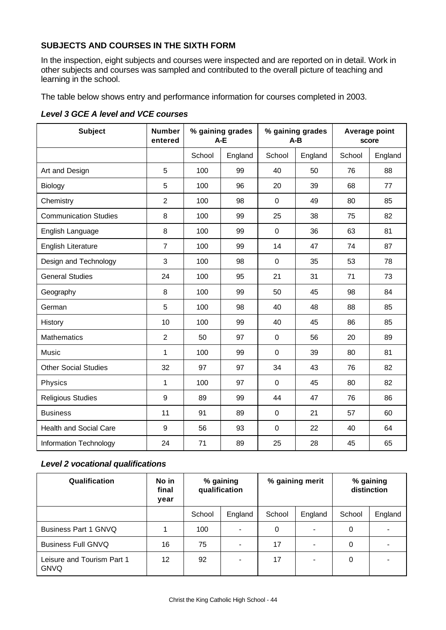# **SUBJECTS AND COURSES IN THE SIXTH FORM**

In the inspection, eight subjects and courses were inspected and are reported on in detail. Work in other subjects and courses was sampled and contributed to the overall picture of teaching and learning in the school.

The table below shows entry and performance information for courses completed in 2003.

| <b>Subject</b>                | <b>Number</b><br>entered | % gaining grades<br>$A-E$ |         | % gaining grades<br>$A - B$ |         | Average point<br>score |         |
|-------------------------------|--------------------------|---------------------------|---------|-----------------------------|---------|------------------------|---------|
|                               |                          | School                    | England | School                      | England | School                 | England |
| Art and Design                | 5                        | 100                       | 99      | 40                          | 50      | 76                     | 88      |
| Biology                       | 5                        | 100                       | 96      | 20                          | 39      | 68                     | 77      |
| Chemistry                     | $\overline{2}$           | 100                       | 98      | 0                           | 49      | 80                     | 85      |
| <b>Communication Studies</b>  | 8                        | 100                       | 99      | 25                          | 38      | 75                     | 82      |
| English Language              | 8                        | 100                       | 99      | 0                           | 36      | 63                     | 81      |
| <b>English Literature</b>     | $\overline{7}$           | 100                       | 99      | 14                          | 47      | 74                     | 87      |
| Design and Technology         | 3                        | 100                       | 98      | $\mathbf 0$                 | 35      | 53                     | 78      |
| <b>General Studies</b>        | 24                       | 100                       | 95      | 21                          | 31      | 71                     | 73      |
| Geography                     | 8                        | 100                       | 99      | 50                          | 45      | 98                     | 84      |
| German                        | 5                        | 100                       | 98      | 40                          | 48      | 88                     | 85      |
| History                       | 10                       | 100                       | 99      | 40                          | 45      | 86                     | 85      |
| <b>Mathematics</b>            | $\overline{2}$           | 50                        | 97      | 0                           | 56      | 20                     | 89      |
| Music                         | 1                        | 100                       | 99      | $\mathbf 0$                 | 39      | 80                     | 81      |
| <b>Other Social Studies</b>   | 32                       | 97                        | 97      | 34                          | 43      | 76                     | 82      |
| Physics                       | $\mathbf{1}$             | 100                       | 97      | $\mathbf 0$                 | 45      | 80                     | 82      |
| <b>Religious Studies</b>      | 9                        | 89                        | 99      | 44                          | 47      | 76                     | 86      |
| <b>Business</b>               | 11                       | 91                        | 89      | $\mathbf 0$                 | 21      | 57                     | 60      |
| <b>Health and Social Care</b> | 9                        | 56                        | 93      | $\mathbf 0$                 | 22      | 40                     | 64      |
| Information Technology        | 24                       | 71                        | 89      | 25                          | 28      | 45                     | 65      |

*Level 3 GCE A level and VCE courses*

# *Level 2 vocational qualifications*

| Qualification                             | No in<br>final<br>year | % gaining<br>qualification |         |        |         | % gaining merit |         | % gaining<br>distinction |  |
|-------------------------------------------|------------------------|----------------------------|---------|--------|---------|-----------------|---------|--------------------------|--|
|                                           |                        | School                     | England | School | England | School          | England |                          |  |
| <b>Business Part 1 GNVQ</b>               |                        | 100                        |         | 0      |         | 0               |         |                          |  |
| <b>Business Full GNVQ</b>                 | 16                     | 75                         |         | 17     |         | 0               |         |                          |  |
| Leisure and Tourism Part 1<br><b>GNVQ</b> | $12 \overline{ }$      | 92                         |         | 17     |         | 0               |         |                          |  |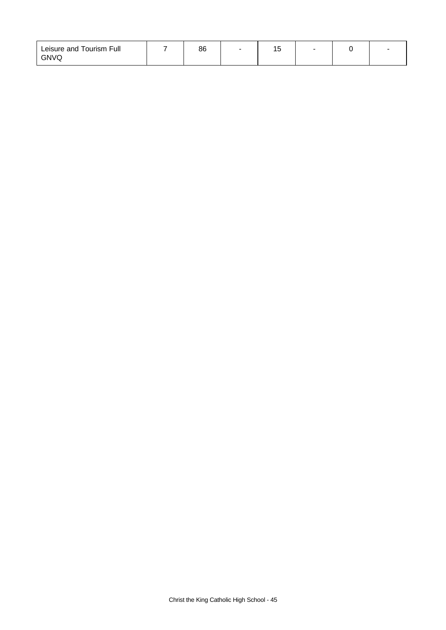| Leisure and Tourism Full | 86 | . . |  |  |
|--------------------------|----|-----|--|--|
| <b>GNVQ</b>              |    |     |  |  |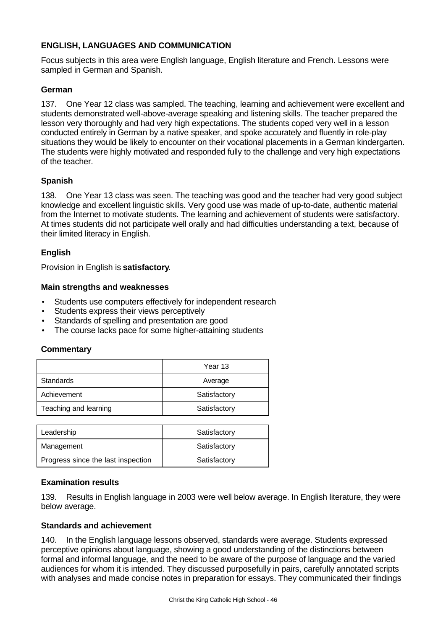# **ENGLISH, LANGUAGES AND COMMUNICATION**

Focus subjects in this area were English language, English literature and French. Lessons were sampled in German and Spanish.

# **German**

137. One Year 12 class was sampled. The teaching, learning and achievement were excellent and students demonstrated well-above-average speaking and listening skills. The teacher prepared the lesson very thoroughly and had very high expectations. The students coped very well in a lesson conducted entirely in German by a native speaker, and spoke accurately and fluently in role-play situations they would be likely to encounter on their vocational placements in a German kindergarten. The students were highly motivated and responded fully to the challenge and very high expectations of the teacher.

# **Spanish**

138. One Year 13 class was seen. The teaching was good and the teacher had very good subject knowledge and excellent linguistic skills. Very good use was made of up-to-date, authentic material from the Internet to motivate students. The learning and achievement of students were satisfactory. At times students did not participate well orally and had difficulties understanding a text, because of their limited literacy in English.

# **English**

Provision in English is **satisfactory**.

# **Main strengths and weaknesses**

- Students use computers effectively for independent research
- Students express their views perceptively
- Standards of spelling and presentation are good
- The course lacks pace for some higher-attaining students

# **Commentary**

|                       | Year 13      |
|-----------------------|--------------|
| Standards             | Average      |
| Achievement           | Satisfactory |
| Teaching and learning | Satisfactory |
|                       |              |
| aadarehin             | Satiefactory |

| Leadership                         | Satisfactory |
|------------------------------------|--------------|
| Management                         | Satisfactory |
| Progress since the last inspection | Satisfactory |

# **Examination results**

139. Results in English language in 2003 were well below average. In English literature, they were below average.

#### **Standards and achievement**

140. In the English language lessons observed, standards were average. Students expressed perceptive opinions about language, showing a good understanding of the distinctions between formal and informal language, and the need to be aware of the purpose of language and the varied audiences for whom it is intended. They discussed purposefully in pairs, carefully annotated scripts with analyses and made concise notes in preparation for essays. They communicated their findings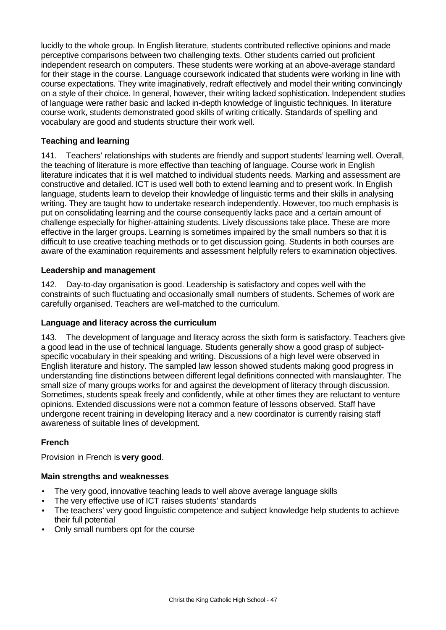lucidly to the whole group. In English literature, students contributed reflective opinions and made perceptive comparisons between two challenging texts. Other students carried out proficient independent research on computers. These students were working at an above-average standard for their stage in the course. Language coursework indicated that students were working in line with course expectations. They write imaginatively, redraft effectively and model their writing convincingly on a style of their choice. In general, however, their writing lacked sophistication. Independent studies of language were rather basic and lacked in-depth knowledge of linguistic techniques. In literature course work, students demonstrated good skills of writing critically. Standards of spelling and vocabulary are good and students structure their work well.

# **Teaching and learning**

141. Teachers' relationships with students are friendly and support students' learning well. Overall, the teaching of literature is more effective than teaching of language. Course work in English literature indicates that it is well matched to individual students needs. Marking and assessment are constructive and detailed. ICT is used well both to extend learning and to present work. In English language, students learn to develop their knowledge of linguistic terms and their skills in analysing writing. They are taught how to undertake research independently. However, too much emphasis is put on consolidating learning and the course consequently lacks pace and a certain amount of challenge especially for higher-attaining students. Lively discussions take place. These are more effective in the larger groups. Learning is sometimes impaired by the small numbers so that it is difficult to use creative teaching methods or to get discussion going. Students in both courses are aware of the examination requirements and assessment helpfully refers to examination objectives.

# **Leadership and management**

142. Day-to-day organisation is good. Leadership is satisfactory and copes well with the constraints of such fluctuating and occasionally small numbers of students. Schemes of work are carefully organised. Teachers are well-matched to the curriculum.

# **Language and literacy across the curriculum**

143. The development of language and literacy across the sixth form is satisfactory. Teachers give a good lead in the use of technical language. Students generally show a good grasp of subjectspecific vocabulary in their speaking and writing. Discussions of a high level were observed in English literature and history. The sampled law lesson showed students making good progress in understanding fine distinctions between different legal definitions connected with manslaughter. The small size of many groups works for and against the development of literacy through discussion. Sometimes, students speak freely and confidently, while at other times they are reluctant to venture opinions. Extended discussions were not a common feature of lessons observed. Staff have undergone recent training in developing literacy and a new coordinator is currently raising staff awareness of suitable lines of development.

# **French**

Provision in French is **very good**.

# **Main strengths and weaknesses**

- The very good, innovative teaching leads to well above average language skills
- The very effective use of ICT raises students' standards
- The teachers' very good linguistic competence and subject knowledge help students to achieve their full potential
- Only small numbers opt for the course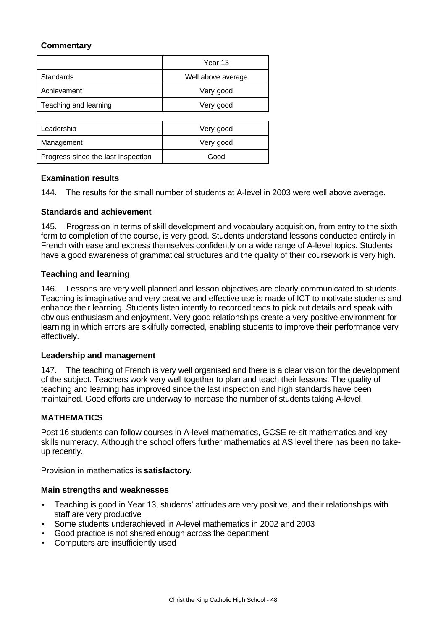# **Commentary**

|                                    | Year 13            |
|------------------------------------|--------------------|
| <b>Standards</b>                   | Well above average |
| Achievement                        | Very good          |
| Teaching and learning              | Very good          |
|                                    |                    |
| Leadership                         | Very good          |
| Management                         | Very good          |
| Progress since the last inspection | Good               |

# **Examination results**

144. The results for the small number of students at A-level in 2003 were well above average.

#### **Standards and achievement**

145. Progression in terms of skill development and vocabulary acquisition, from entry to the sixth form to completion of the course, is very good. Students understand lessons conducted entirely in French with ease and express themselves confidently on a wide range of A-level topics. Students have a good awareness of grammatical structures and the quality of their coursework is very high.

#### **Teaching and learning**

146. Lessons are very well planned and lesson objectives are clearly communicated to students. Teaching is imaginative and very creative and effective use is made of ICT to motivate students and enhance their learning. Students listen intently to recorded texts to pick out details and speak with obvious enthusiasm and enjoyment. Very good relationships create a very positive environment for learning in which errors are skilfully corrected, enabling students to improve their performance very effectively.

#### **Leadership and management**

147. The teaching of French is very well organised and there is a clear vision for the development of the subject. Teachers work very well together to plan and teach their lessons. The quality of teaching and learning has improved since the last inspection and high standards have been maintained. Good efforts are underway to increase the number of students taking A-level.

# **MATHEMATICS**

Post 16 students can follow courses in A-level mathematics, GCSE re-sit mathematics and key skills numeracy. Although the school offers further mathematics at AS level there has been no takeup recently.

Provision in mathematics is **satisfactory**.

#### **Main strengths and weaknesses**

- Teaching is good in Year 13, students' attitudes are very positive, and their relationships with staff are very productive
- Some students underachieved in A-level mathematics in 2002 and 2003
- Good practice is not shared enough across the department
- Computers are insufficiently used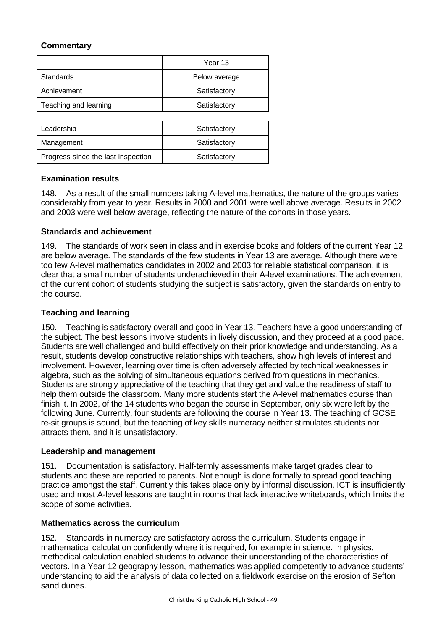# **Commentary**

|                                    | Year 13       |
|------------------------------------|---------------|
| <b>Standards</b>                   | Below average |
| Achievement                        | Satisfactory  |
| Teaching and learning              | Satisfactory  |
|                                    |               |
| Leadership                         | Satisfactory  |
| Management                         | Satisfactory  |
| Progress since the last inspection | Satisfactory  |

# **Examination results**

148. As a result of the small numbers taking A-level mathematics, the nature of the groups varies considerably from year to year. Results in 2000 and 2001 were well above average. Results in 2002 and 2003 were well below average, reflecting the nature of the cohorts in those years.

# **Standards and achievement**

149. The standards of work seen in class and in exercise books and folders of the current Year 12 are below average. The standards of the few students in Year 13 are average. Although there were too few A-level mathematics candidates in 2002 and 2003 for reliable statistical comparison, it is clear that a small number of students underachieved in their A-level examinations. The achievement of the current cohort of students studying the subject is satisfactory, given the standards on entry to the course.

# **Teaching and learning**

150. Teaching is satisfactory overall and good in Year 13. Teachers have a good understanding of the subject. The best lessons involve students in lively discussion, and they proceed at a good pace. Students are well challenged and build effectively on their prior knowledge and understanding. As a result, students develop constructive relationships with teachers, show high levels of interest and involvement. However, learning over time is often adversely affected by technical weaknesses in algebra, such as the solving of simultaneous equations derived from questions in mechanics. Students are strongly appreciative of the teaching that they get and value the readiness of staff to help them outside the classroom. Many more students start the A-level mathematics course than finish it. In 2002, of the 14 students who began the course in September, only six were left by the following June. Currently, four students are following the course in Year 13. The teaching of GCSE re-sit groups is sound, but the teaching of key skills numeracy neither stimulates students nor attracts them, and it is unsatisfactory.

# **Leadership and management**

151. Documentation is satisfactory. Half-termly assessments make target grades clear to students and these are reported to parents. Not enough is done formally to spread good teaching practice amongst the staff. Currently this takes place only by informal discussion. ICT is insufficiently used and most A-level lessons are taught in rooms that lack interactive whiteboards, which limits the scope of some activities.

# **Mathematics across the curriculum**

152. Standards in numeracy are satisfactory across the curriculum. Students engage in mathematical calculation confidently where it is required, for example in science. In physics, methodical calculation enabled students to advance their understanding of the characteristics of vectors. In a Year 12 geography lesson, mathematics was applied competently to advance students' understanding to aid the analysis of data collected on a fieldwork exercise on the erosion of Sefton sand dunes.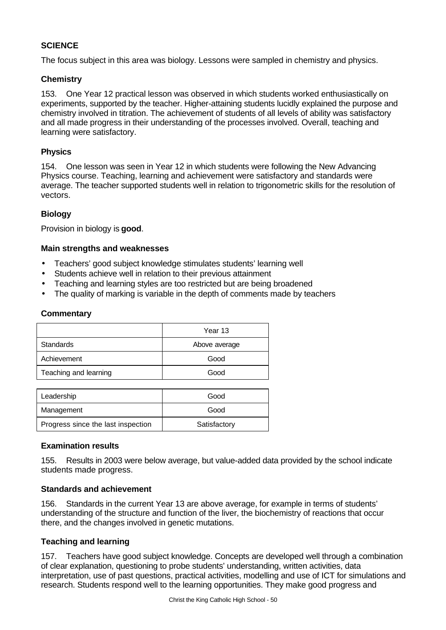# **SCIENCE**

The focus subject in this area was biology. Lessons were sampled in chemistry and physics.

# **Chemistry**

153. One Year 12 practical lesson was observed in which students worked enthusiastically on experiments, supported by the teacher. Higher-attaining students lucidly explained the purpose and chemistry involved in titration. The achievement of students of all levels of ability was satisfactory and all made progress in their understanding of the processes involved. Overall, teaching and learning were satisfactory.

# **Physics**

154. One lesson was seen in Year 12 in which students were following the New Advancing Physics course. Teaching, learning and achievement were satisfactory and standards were average. The teacher supported students well in relation to trigonometric skills for the resolution of vectors.

# **Biology**

Provision in biology is **good**.

# **Main strengths and weaknesses**

- Teachers' good subject knowledge stimulates students' learning well
- Students achieve well in relation to their previous attainment
- Teaching and learning styles are too restricted but are being broadened
- The quality of marking is variable in the depth of comments made by teachers

# **Commentary**

|                       | Year 13       |
|-----------------------|---------------|
| Standards             | Above average |
| Achievement           | Good          |
| Teaching and learning | Good          |
|                       |               |

| Leadership                         | Good         |  |
|------------------------------------|--------------|--|
| Management                         | Good         |  |
| Progress since the last inspection | Satisfactory |  |

#### **Examination results**

155. Results in 2003 were below average, but value-added data provided by the school indicate students made progress.

# **Standards and achievement**

156. Standards in the current Year 13 are above average, for example in terms of students' understanding of the structure and function of the liver, the biochemistry of reactions that occur there, and the changes involved in genetic mutations.

# **Teaching and learning**

157. Teachers have good subject knowledge. Concepts are developed well through a combination of clear explanation, questioning to probe students' understanding, written activities, data interpretation, use of past questions, practical activities, modelling and use of ICT for simulations and research. Students respond well to the learning opportunities. They make good progress and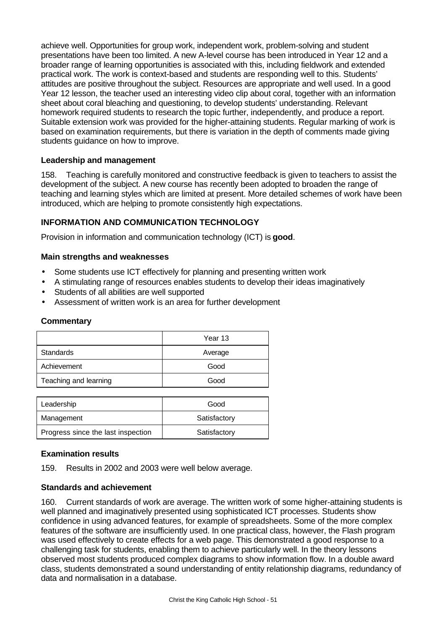achieve well. Opportunities for group work, independent work, problem-solving and student presentations have been too limited. A new A-level course has been introduced in Year 12 and a broader range of learning opportunities is associated with this, including fieldwork and extended practical work. The work is context-based and students are responding well to this. Students' attitudes are positive throughout the subject. Resources are appropriate and well used. In a good Year 12 lesson, the teacher used an interesting video clip about coral, together with an information sheet about coral bleaching and questioning, to develop students' understanding. Relevant homework required students to research the topic further, independently, and produce a report. Suitable extension work was provided for the higher-attaining students. Regular marking of work is based on examination requirements, but there is variation in the depth of comments made giving students guidance on how to improve.

# **Leadership and management**

158. Teaching is carefully monitored and constructive feedback is given to teachers to assist the development of the subject. A new course has recently been adopted to broaden the range of teaching and learning styles which are limited at present. More detailed schemes of work have been introduced, which are helping to promote consistently high expectations.

# **INFORMATION AND COMMUNICATION TECHNOLOGY**

Provision in information and communication technology (ICT) is **good**.

# **Main strengths and weaknesses**

- Some students use ICT effectively for planning and presenting written work
- A stimulating range of resources enables students to develop their ideas imaginatively
- Students of all abilities are well supported
- Assessment of written work is an area for further development

# **Commentary**

|                       | Year 13 |  |
|-----------------------|---------|--|
| Standards             | Average |  |
| Achievement           | Good    |  |
| Teaching and learning | Good    |  |
|                       |         |  |

| Leadership                         | Good         |
|------------------------------------|--------------|
| Management                         | Satisfactory |
| Progress since the last inspection | Satisfactory |

# **Examination results**

159. Results in 2002 and 2003 were well below average.

# **Standards and achievement**

160. Current standards of work are average. The written work of some higher-attaining students is well planned and imaginatively presented using sophisticated ICT processes. Students show confidence in using advanced features, for example of spreadsheets. Some of the more complex features of the software are insufficiently used. In one practical class, however, the Flash program was used effectively to create effects for a web page. This demonstrated a good response to a challenging task for students, enabling them to achieve particularly well. In the theory lessons observed most students produced complex diagrams to show information flow. In a double award class, students demonstrated a sound understanding of entity relationship diagrams, redundancy of data and normalisation in a database.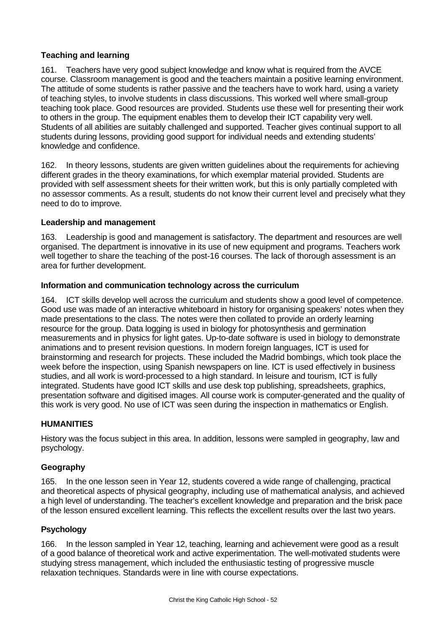# **Teaching and learning**

161. Teachers have very good subject knowledge and know what is required from the AVCE course. Classroom management is good and the teachers maintain a positive learning environment. The attitude of some students is rather passive and the teachers have to work hard, using a variety of teaching styles, to involve students in class discussions. This worked well where small-group teaching took place. Good resources are provided. Students use these well for presenting their work to others in the group. The equipment enables them to develop their ICT capability very well. Students of all abilities are suitably challenged and supported. Teacher gives continual support to all students during lessons, providing good support for individual needs and extending students' knowledge and confidence.

162. In theory lessons, students are given written guidelines about the requirements for achieving different grades in the theory examinations, for which exemplar material provided. Students are provided with self assessment sheets for their written work, but this is only partially completed with no assessor comments. As a result, students do not know their current level and precisely what they need to do to improve.

# **Leadership and management**

163. Leadership is good and management is satisfactory. The department and resources are well organised. The department is innovative in its use of new equipment and programs. Teachers work well together to share the teaching of the post-16 courses. The lack of thorough assessment is an area for further development.

# **Information and communication technology across the curriculum**

164. ICT skills develop well across the curriculum and students show a good level of competence. Good use was made of an interactive whiteboard in history for organising speakers' notes when they made presentations to the class. The notes were then collated to provide an orderly learning resource for the group. Data logging is used in biology for photosynthesis and germination measurements and in physics for light gates. Up-to-date software is used in biology to demonstrate animations and to present revision questions. In modern foreign languages, ICT is used for brainstorming and research for projects. These included the Madrid bombings, which took place the week before the inspection, using Spanish newspapers on line. ICT is used effectively in business studies, and all work is word-processed to a high standard. In leisure and tourism, ICT is fully integrated. Students have good ICT skills and use desk top publishing, spreadsheets, graphics, presentation software and digitised images. All course work is computer-generated and the quality of this work is very good. No use of ICT was seen during the inspection in mathematics or English.

# **HUMANITIES**

History was the focus subject in this area. In addition, lessons were sampled in geography, law and psychology.

# **Geography**

165. In the one lesson seen in Year 12, students covered a wide range of challenging, practical and theoretical aspects of physical geography, including use of mathematical analysis, and achieved a high level of understanding. The teacher's excellent knowledge and preparation and the brisk pace of the lesson ensured excellent learning. This reflects the excellent results over the last two years.

# **Psychology**

166. In the lesson sampled in Year 12, teaching, learning and achievement were good as a result of a good balance of theoretical work and active experimentation. The well-motivated students were studying stress management, which included the enthusiastic testing of progressive muscle relaxation techniques. Standards were in line with course expectations.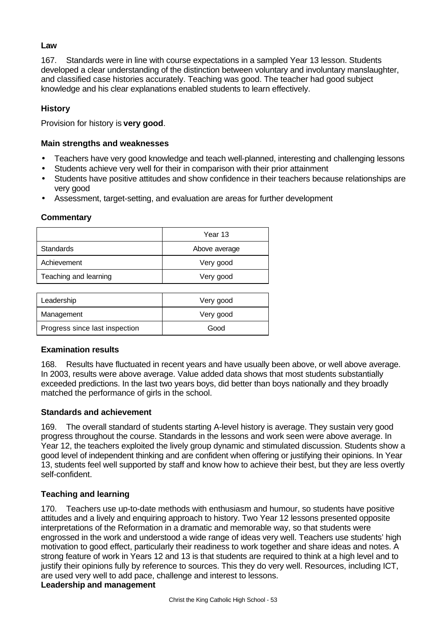# **Law**

167. Standards were in line with course expectations in a sampled Year 13 lesson. Students developed a clear understanding of the distinction between voluntary and involuntary manslaughter, and classified case histories accurately. Teaching was good. The teacher had good subject knowledge and his clear explanations enabled students to learn effectively.

# **History**

Provision for history is **very good**.

# **Main strengths and weaknesses**

- Teachers have very good knowledge and teach well-planned, interesting and challenging lessons
- Students achieve very well for their in comparison with their prior attainment
- Students have positive attitudes and show confidence in their teachers because relationships are very good
- Assessment, target-setting, and evaluation are areas for further development

#### **Commentary**

|                       | Year 13       |  |
|-----------------------|---------------|--|
| <b>Standards</b>      | Above average |  |
| Achievement           | Very good     |  |
| Teaching and learning | Very good     |  |
|                       |               |  |

| Leadership                     | Very good |  |
|--------------------------------|-----------|--|
| Management                     | Very good |  |
| Progress since last inspection | Good      |  |

# **Examination results**

168. Results have fluctuated in recent years and have usually been above, or well above average. In 2003, results were above average. Value added data shows that most students substantially exceeded predictions. In the last two years boys, did better than boys nationally and they broadly matched the performance of girls in the school.

# **Standards and achievement**

169. The overall standard of students starting A-level history is average. They sustain very good progress throughout the course. Standards in the lessons and work seen were above average. In Year 12, the teachers exploited the lively group dynamic and stimulated discussion. Students show a good level of independent thinking and are confident when offering or justifying their opinions. In Year 13, students feel well supported by staff and know how to achieve their best, but they are less overtly self-confident.

# **Teaching and learning**

170. Teachers use up-to-date methods with enthusiasm and humour, so students have positive attitudes and a lively and enquiring approach to history. Two Year 12 lessons presented opposite interpretations of the Reformation in a dramatic and memorable way, so that students were engrossed in the work and understood a wide range of ideas very well. Teachers use students' high motivation to good effect, particularly their readiness to work together and share ideas and notes. A strong feature of work in Years 12 and 13 is that students are required to think at a high level and to justify their opinions fully by reference to sources. This they do very well. Resources, including ICT, are used very well to add pace, challenge and interest to lessons.

# **Leadership and management**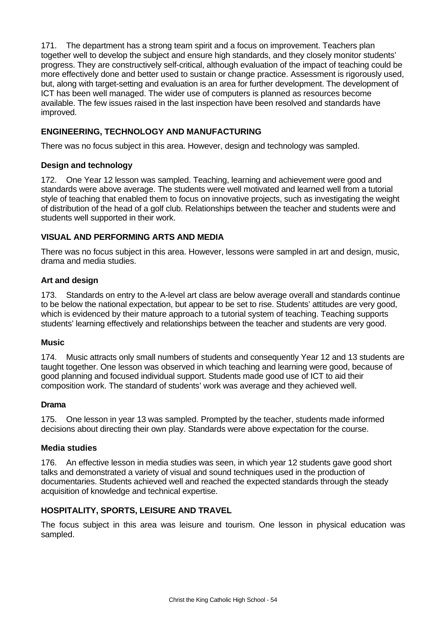171. The department has a strong team spirit and a focus on improvement. Teachers plan together well to develop the subject and ensure high standards, and they closely monitor students' progress. They are constructively self-critical, although evaluation of the impact of teaching could be more effectively done and better used to sustain or change practice. Assessment is rigorously used, but, along with target-setting and evaluation is an area for further development. The development of ICT has been well managed. The wider use of computers is planned as resources become available. The few issues raised in the last inspection have been resolved and standards have improved.

# **ENGINEERING, TECHNOLOGY AND MANUFACTURING**

There was no focus subject in this area. However, design and technology was sampled.

#### **Design and technology**

172. One Year 12 lesson was sampled. Teaching, learning and achievement were good and standards were above average. The students were well motivated and learned well from a tutorial style of teaching that enabled them to focus on innovative projects, such as investigating the weight of distribution of the head of a golf club. Relationships between the teacher and students were and students well supported in their work.

# **VISUAL AND PERFORMING ARTS AND MEDIA**

There was no focus subject in this area. However, lessons were sampled in art and design, music, drama and media studies.

#### **Art and design**

173. Standards on entry to the A-level art class are below average overall and standards continue to be below the national expectation, but appear to be set to rise. Students' attitudes are very good, which is evidenced by their mature approach to a tutorial system of teaching. Teaching supports students' learning effectively and relationships between the teacher and students are very good.

#### **Music**

174. Music attracts only small numbers of students and consequently Year 12 and 13 students are taught together. One lesson was observed in which teaching and learning were good, because of good planning and focused individual support. Students made good use of ICT to aid their composition work. The standard of students' work was average and they achieved well.

#### **Drama**

175. One lesson in year 13 was sampled. Prompted by the teacher, students made informed decisions about directing their own play. Standards were above expectation for the course.

# **Media studies**

176. An effective lesson in media studies was seen, in which year 12 students gave good short talks and demonstrated a variety of visual and sound techniques used in the production of documentaries. Students achieved well and reached the expected standards through the steady acquisition of knowledge and technical expertise.

# **HOSPITALITY, SPORTS, LEISURE AND TRAVEL**

The focus subject in this area was leisure and tourism. One lesson in physical education was sampled.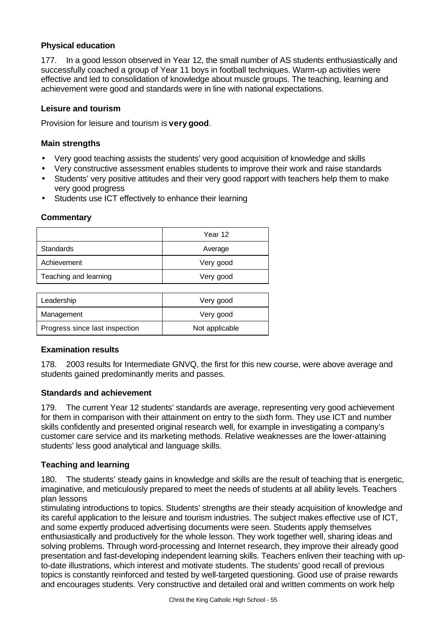# **Physical education**

177. In a good lesson observed in Year 12, the small number of AS students enthusiastically and successfully coached a group of Year 11 boys in football techniques. Warm-up activities were effective and led to consolidation of knowledge about muscle groups. The teaching, learning and achievement were good and standards were in line with national expectations.

# **Leisure and tourism**

Provision for leisure and tourism is **very good**.

# **Main strengths**

- Very good teaching assists the students' very good acquisition of knowledge and skills
- Very constructive assessment enables students to improve their work and raise standards
- Students' very positive attitudes and their very good rapport with teachers help them to make very good progress
- Students use ICT effectively to enhance their learning

#### **Commentary**

|                       | Year 12   |  |
|-----------------------|-----------|--|
| Standards             | Average   |  |
| Achievement           | Very good |  |
| Teaching and learning | Very good |  |
|                       |           |  |

| Leadership                     | Very good      |  |
|--------------------------------|----------------|--|
| Management                     | Very good      |  |
| Progress since last inspection | Not applicable |  |

# **Examination results**

178. 2003 results for Intermediate GNVQ, the first for this new course, were above average and students gained predominantly merits and passes.

# **Standards and achievement**

179. The current Year 12 students' standards are average, representing very good achievement for them in comparison with their attainment on entry to the sixth form. They use ICT and number skills confidently and presented original research well, for example in investigating a company's customer care service and its marketing methods. Relative weaknesses are the lower-attaining students' less good analytical and language skills.

# **Teaching and learning**

180. The students' steady gains in knowledge and skills are the result of teaching that is energetic, imaginative, and meticulously prepared to meet the needs of students at all ability levels. Teachers plan lessons

stimulating introductions to topics. Students' strengths are their steady acquisition of knowledge and its careful application to the leisure and tourism industries. The subject makes effective use of ICT, and some expertly produced advertising documents were seen. Students apply themselves enthusiastically and productively for the whole lesson. They work together well, sharing ideas and solving problems. Through word-processing and Internet research, they improve their already good presentation and fast-developing independent learning skills. Teachers enliven their teaching with upto-date illustrations, which interest and motivate students. The students' good recall of previous topics is constantly reinforced and tested by well-targeted questioning. Good use of praise rewards and encourages students. Very constructive and detailed oral and written comments on work help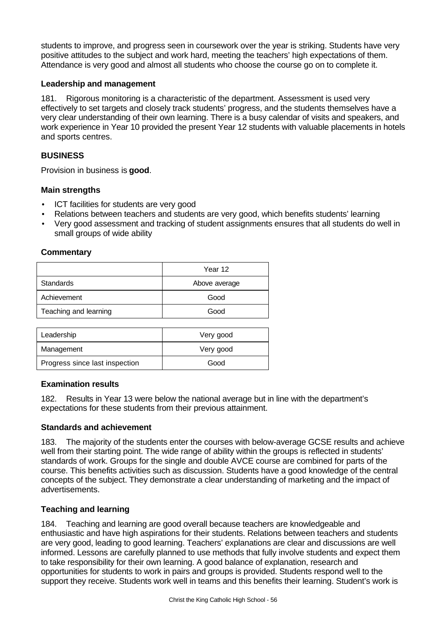students to improve, and progress seen in coursework over the year is striking. Students have very positive attitudes to the subject and work hard, meeting the teachers' high expectations of them. Attendance is very good and almost all students who choose the course go on to complete it.

# **Leadership and management**

181. Rigorous monitoring is a characteristic of the department. Assessment is used very effectively to set targets and closely track students' progress, and the students themselves have a very clear understanding of their own learning. There is a busy calendar of visits and speakers, and work experience in Year 10 provided the present Year 12 students with valuable placements in hotels and sports centres.

# **BUSINESS**

Provision in business is **good**.

# **Main strengths**

- ICT facilities for students are very good
- Relations between teachers and students are very good, which benefits students' learning
- Very good assessment and tracking of student assignments ensures that all students do well in small groups of wide ability

# **Commentary**

|                       | Year 12       |  |
|-----------------------|---------------|--|
| <b>Standards</b>      | Above average |  |
| Achievement           | Good          |  |
| Teaching and learning | Good          |  |
|                       |               |  |

| Leadership                     | Very good |  |
|--------------------------------|-----------|--|
| Management                     | Very good |  |
| Progress since last inspection | Good      |  |

# **Examination results**

182. Results in Year 13 were below the national average but in line with the department's expectations for these students from their previous attainment.

# **Standards and achievement**

183. The majority of the students enter the courses with below-average GCSE results and achieve well from their starting point. The wide range of ability within the groups is reflected in students' standards of work. Groups for the single and double AVCE course are combined for parts of the course. This benefits activities such as discussion. Students have a good knowledge of the central concepts of the subject. They demonstrate a clear understanding of marketing and the impact of advertisements.

# **Teaching and learning**

184. Teaching and learning are good overall because teachers are knowledgeable and enthusiastic and have high aspirations for their students. Relations between teachers and students are very good, leading to good learning. Teachers' explanations are clear and discussions are well informed. Lessons are carefully planned to use methods that fully involve students and expect them to take responsibility for their own learning. A good balance of explanation, research and opportunities for students to work in pairs and groups is provided. Students respond well to the support they receive. Students work well in teams and this benefits their learning. Student's work is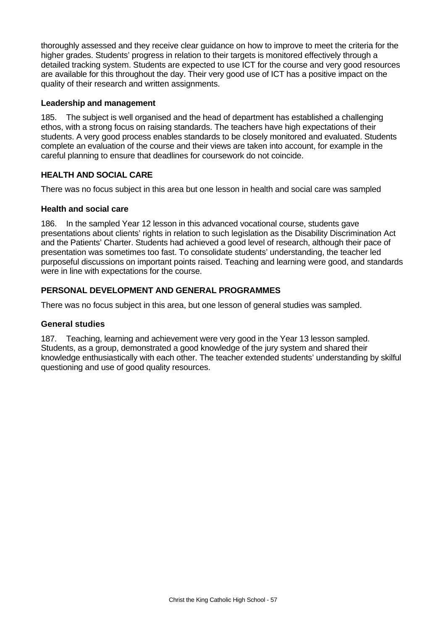thoroughly assessed and they receive clear guidance on how to improve to meet the criteria for the higher grades. Students' progress in relation to their targets is monitored effectively through a detailed tracking system. Students are expected to use ICT for the course and very good resources are available for this throughout the day. Their very good use of ICT has a positive impact on the quality of their research and written assignments.

# **Leadership and management**

185. The subject is well organised and the head of department has established a challenging ethos, with a strong focus on raising standards. The teachers have high expectations of their students. A very good process enables standards to be closely monitored and evaluated. Students complete an evaluation of the course and their views are taken into account, for example in the careful planning to ensure that deadlines for coursework do not coincide.

# **HEALTH AND SOCIAL CARE**

There was no focus subject in this area but one lesson in health and social care was sampled

# **Health and social care**

186. In the sampled Year 12 lesson in this advanced vocational course, students gave presentations about clients' rights in relation to such legislation as the Disability Discrimination Act and the Patients' Charter. Students had achieved a good level of research, although their pace of presentation was sometimes too fast. To consolidate students' understanding, the teacher led purposeful discussions on important points raised. Teaching and learning were good, and standards were in line with expectations for the course.

# **PERSONAL DEVELOPMENT AND GENERAL PROGRAMMES**

There was no focus subject in this area, but one lesson of general studies was sampled.

# **General studies**

187. Teaching, learning and achievement were very good in the Year 13 lesson sampled. Students, as a group, demonstrated a good knowledge of the jury system and shared their knowledge enthusiastically with each other. The teacher extended students' understanding by skilful questioning and use of good quality resources.